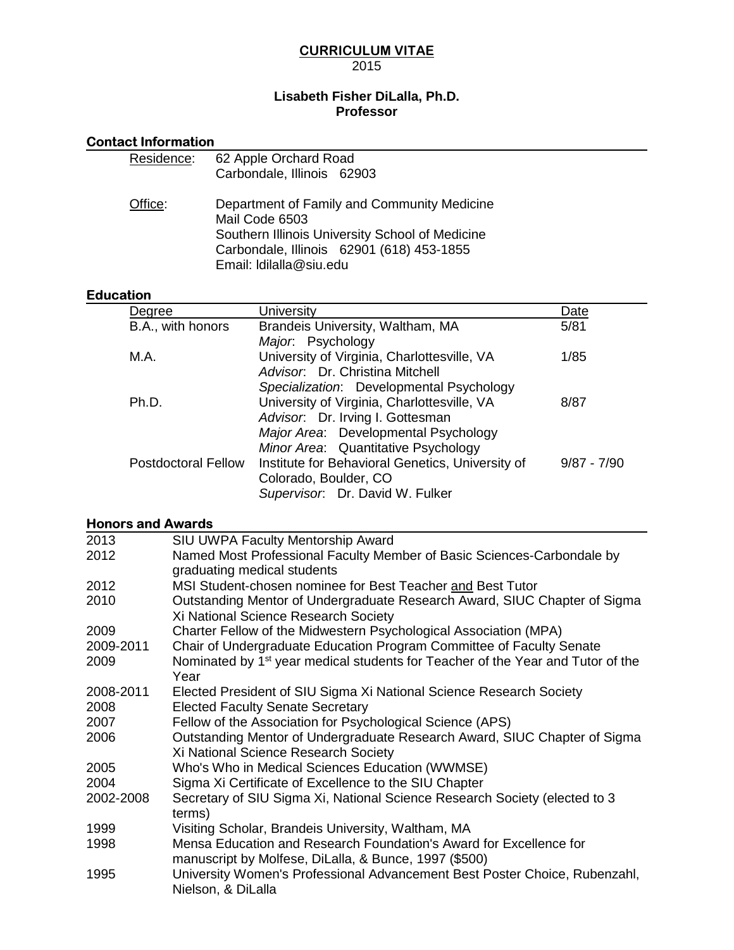# CURRICULUM VITAE 2015

# **Lisabeth Fisher DiLalla, Ph.D. Professor**

Contact Information

|                          | Residence:                 | 62 Apple Orchard Road<br>Carbondale, Illinois 62903                                                                                      |               |
|--------------------------|----------------------------|------------------------------------------------------------------------------------------------------------------------------------------|---------------|
|                          |                            |                                                                                                                                          |               |
| Office:                  |                            | Department of Family and Community Medicine<br>Mail Code 6503                                                                            |               |
|                          |                            | Southern Illinois University School of Medicine                                                                                          |               |
|                          |                            | Carbondale, Illinois 62901 (618) 453-1855                                                                                                |               |
|                          |                            | Email: Idilalla@siu.edu                                                                                                                  |               |
| <b>Education</b>         |                            |                                                                                                                                          |               |
| Degree                   |                            | University                                                                                                                               | Date          |
| B.A., with honors        |                            | Brandeis University, Waltham, MA<br>Major. Psychology                                                                                    | 5/81          |
| M.A.                     |                            | University of Virginia, Charlottesville, VA<br>Advisor. Dr. Christina Mitchell                                                           | 1/85          |
| Ph.D.                    |                            | Specialization: Developmental Psychology<br>University of Virginia, Charlottesville, VA                                                  | 8/87          |
|                          |                            | Advisor. Dr. Irving I. Gottesman                                                                                                         |               |
|                          |                            | Major Area: Developmental Psychology                                                                                                     |               |
|                          | <b>Postdoctoral Fellow</b> | Minor Area: Quantitative Psychology<br>Institute for Behavioral Genetics, University of                                                  | $9/87 - 7/90$ |
|                          |                            | Colorado, Boulder, CO                                                                                                                    |               |
|                          |                            | Supervisor. Dr. David W. Fulker                                                                                                          |               |
| <b>Honors and Awards</b> |                            |                                                                                                                                          |               |
| 2013                     |                            | SIU UWPA Faculty Mentorship Award                                                                                                        |               |
| 2012                     |                            | Named Most Professional Faculty Member of Basic Sciences-Carbondale by                                                                   |               |
| 2012                     |                            | graduating medical students<br>MSI Student-chosen nominee for Best Teacher and Best Tutor                                                |               |
| 2010                     |                            | Outstanding Mentor of Undergraduate Research Award, SIUC Chapter of Sigma                                                                |               |
|                          |                            | Xi National Science Research Society                                                                                                     |               |
| 2009<br>2009-2011        |                            | Charter Fellow of the Midwestern Psychological Association (MPA)<br>Chair of Undergraduate Education Program Committee of Faculty Senate |               |
| 2009                     |                            | Nominated by 1 <sup>st</sup> year medical students for Teacher of the Year and Tutor of the                                              |               |
|                          | Year                       |                                                                                                                                          |               |
| 2008-2011<br>2008        |                            | Elected President of SIU Sigma Xi National Science Research Society<br><b>Elected Faculty Senate Secretary</b>                           |               |
| 2007                     |                            | Fellow of the Association for Psychological Science (APS)                                                                                |               |
| 2006                     |                            | Outstanding Mentor of Undergraduate Research Award, SIUC Chapter of Sigma<br>Xi National Science Research Society                        |               |
| 2005                     |                            | Who's Who in Medical Sciences Education (WWMSE)                                                                                          |               |
| 2004<br>2002-2008        |                            | Sigma Xi Certificate of Excellence to the SIU Chapter<br>Secretary of SIU Sigma Xi, National Science Research Society (elected to 3      |               |
| 1999                     | terms)                     | Visiting Scholar, Brandeis University, Waltham, MA                                                                                       |               |
| 1998                     |                            | Mensa Education and Research Foundation's Award for Excellence for                                                                       |               |
| 1995                     | Nielson, & DiLalla         | manuscript by Molfese, DiLalla, & Bunce, 1997 (\$500)<br>University Women's Professional Advancement Best Poster Choice, Rubenzahl,      |               |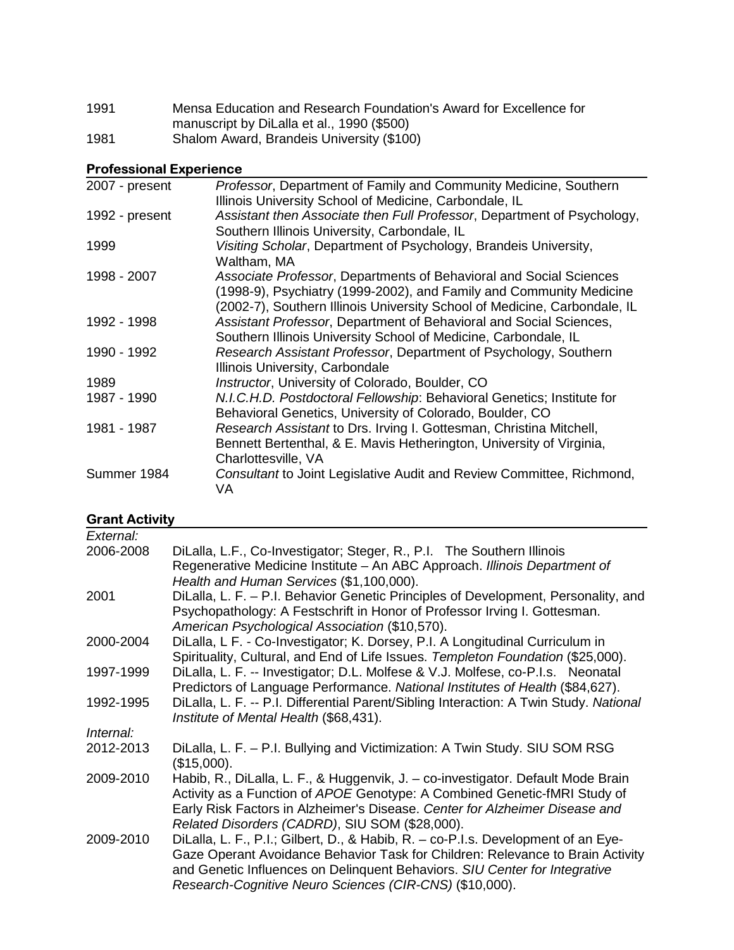| 1991 | Mensa Education and Research Foundation's Award for Excellence for |
|------|--------------------------------------------------------------------|
|      | manuscript by DiLalla et al., 1990 (\$500)                         |
| 1981 | Shalom Award, Brandeis University (\$100)                          |

# Professional Experience

| 2007 - present | Professor, Department of Family and Community Medicine, Southern<br>Illinois University School of Medicine, Carbondale, IL                                                                                             |
|----------------|------------------------------------------------------------------------------------------------------------------------------------------------------------------------------------------------------------------------|
| 1992 - present | Assistant then Associate then Full Professor, Department of Psychology,<br>Southern Illinois University, Carbondale, IL                                                                                                |
| 1999           | Visiting Scholar, Department of Psychology, Brandeis University,<br>Waltham, MA                                                                                                                                        |
| 1998 - 2007    | Associate Professor, Departments of Behavioral and Social Sciences<br>(1998-9), Psychiatry (1999-2002), and Family and Community Medicine<br>(2002-7), Southern Illinois University School of Medicine, Carbondale, IL |
| 1992 - 1998    | Assistant Professor, Department of Behavioral and Social Sciences,<br>Southern Illinois University School of Medicine, Carbondale, IL                                                                                  |
| 1990 - 1992    | Research Assistant Professor, Department of Psychology, Southern<br>Illinois University, Carbondale                                                                                                                    |
| 1989           | Instructor, University of Colorado, Boulder, CO                                                                                                                                                                        |
| 1987 - 1990    | N.I.C.H.D. Postdoctoral Fellowship: Behavioral Genetics; Institute for<br>Behavioral Genetics, University of Colorado, Boulder, CO                                                                                     |
| 1981 - 1987    | Research Assistant to Drs. Irving I. Gottesman, Christina Mitchell,<br>Bennett Bertenthal, & E. Mavis Hetherington, University of Virginia,<br>Charlottesville, VA                                                     |
| Summer 1984    | Consultant to Joint Legislative Audit and Review Committee, Richmond,<br><b>VA</b>                                                                                                                                     |

# Grant Activity

| External: |                                                                                                                                                                                                                                                                                                              |
|-----------|--------------------------------------------------------------------------------------------------------------------------------------------------------------------------------------------------------------------------------------------------------------------------------------------------------------|
| 2006-2008 | DiLalla, L.F., Co-Investigator; Steger, R., P.I. The Southern Illinois<br>Regenerative Medicine Institute - An ABC Approach. Illinois Department of<br>Health and Human Services (\$1,100,000).                                                                                                              |
| 2001      | DiLalla, L. F. – P.I. Behavior Genetic Principles of Development, Personality, and<br>Psychopathology: A Festschrift in Honor of Professor Irving I. Gottesman.<br>American Psychological Association (\$10,570).                                                                                            |
| 2000-2004 | DiLalla, L F. - Co-Investigator; K. Dorsey, P.I. A Longitudinal Curriculum in<br>Spirituality, Cultural, and End of Life Issues. Templeton Foundation (\$25,000).                                                                                                                                            |
| 1997-1999 | DiLalla, L. F. -- Investigator; D.L. Molfese & V.J. Molfese, co-P.I.s. Neonatal<br>Predictors of Language Performance. National Institutes of Health (\$84,627).                                                                                                                                             |
| 1992-1995 | DiLalla, L. F. -- P.I. Differential Parent/Sibling Interaction: A Twin Study. National<br>Institute of Mental Health (\$68,431).                                                                                                                                                                             |
| Internal: |                                                                                                                                                                                                                                                                                                              |
| 2012-2013 | DiLalla, L. F. - P.I. Bullying and Victimization: A Twin Study. SIU SOM RSG<br>(\$15,000).                                                                                                                                                                                                                   |
| 2009-2010 | Habib, R., DiLalla, L. F., & Huggenvik, J. - co-investigator. Default Mode Brain<br>Activity as a Function of APOE Genotype: A Combined Genetic-fMRI Study of<br>Early Risk Factors in Alzheimer's Disease. Center for Alzheimer Disease and<br>Related Disorders (CADRD), SIU SOM (\$28,000).               |
| 2009-2010 | DiLalla, L. F., P.I.; Gilbert, D., & Habib, R. – co-P.I.s. Development of an Eye-<br>Gaze Operant Avoidance Behavior Task for Children: Relevance to Brain Activity<br>and Genetic Influences on Delinquent Behaviors. SIU Center for Integrative<br>Research-Cognitive Neuro Sciences (CIR-CNS) (\$10,000). |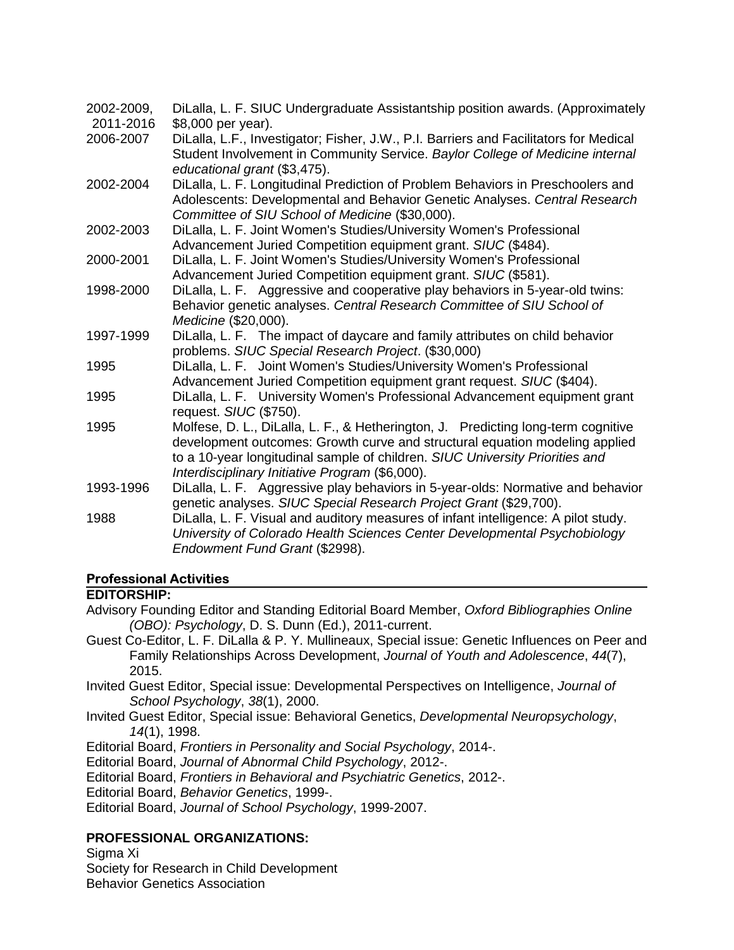| 2002-2009, | DiLalla, L. F. SIUC Undergraduate Assistantship position awards. (Approximately                                                                                                                                                                                                                     |
|------------|-----------------------------------------------------------------------------------------------------------------------------------------------------------------------------------------------------------------------------------------------------------------------------------------------------|
| 2011-2016  | \$8,000 per year).                                                                                                                                                                                                                                                                                  |
| 2006-2007  | DiLalla, L.F., Investigator; Fisher, J.W., P.I. Barriers and Facilitators for Medical<br>Student Involvement in Community Service. Baylor College of Medicine internal<br>educational grant (\$3,475).                                                                                              |
| 2002-2004  | DiLalla, L. F. Longitudinal Prediction of Problem Behaviors in Preschoolers and<br>Adolescents: Developmental and Behavior Genetic Analyses. Central Research<br>Committee of SIU School of Medicine (\$30,000).                                                                                    |
| 2002-2003  | DiLalla, L. F. Joint Women's Studies/University Women's Professional<br>Advancement Juried Competition equipment grant. SIUC (\$484).                                                                                                                                                               |
| 2000-2001  | DiLalla, L. F. Joint Women's Studies/University Women's Professional<br>Advancement Juried Competition equipment grant. SIUC (\$581).                                                                                                                                                               |
| 1998-2000  | DiLalla, L. F. Aggressive and cooperative play behaviors in 5-year-old twins:<br>Behavior genetic analyses. Central Research Committee of SIU School of<br>Medicine (\$20,000).                                                                                                                     |
| 1997-1999  | DiLalla, L. F. The impact of daycare and family attributes on child behavior<br>problems. SIUC Special Research Project. (\$30,000)                                                                                                                                                                 |
| 1995       | DiLalla, L. F. Joint Women's Studies/University Women's Professional<br>Advancement Juried Competition equipment grant request. SIUC (\$404).                                                                                                                                                       |
| 1995       | DiLalla, L. F. University Women's Professional Advancement equipment grant<br>request. SIUC (\$750).                                                                                                                                                                                                |
| 1995       | Molfese, D. L., DiLalla, L. F., & Hetherington, J. Predicting long-term cognitive<br>development outcomes: Growth curve and structural equation modeling applied<br>to a 10-year longitudinal sample of children. SIUC University Priorities and<br>Interdisciplinary Initiative Program (\$6,000). |
| 1993-1996  | DiLalla, L. F. Aggressive play behaviors in 5-year-olds: Normative and behavior<br>genetic analyses. SIUC Special Research Project Grant (\$29,700).                                                                                                                                                |
| 1988       | DiLalla, L. F. Visual and auditory measures of infant intelligence: A pilot study.<br>University of Colorado Health Sciences Center Developmental Psychobiology<br>Endowment Fund Grant (\$2998).                                                                                                   |

# Professional Activities

# **EDITORSHIP:**

- Advisory Founding Editor and Standing Editorial Board Member, Oxford Bibliographies Online (OBO): Psychology, D. S. Dunn (Ed.), 2011-current.
- Guest Co-Editor, L. F. DiLalla & P. Y. Mullineaux, Special issue: Genetic Influences on Peer and Family Relationships Across Development, Journal of Youth and Adolescence, 44(7), 2015.
- Invited Guest Editor, Special issue: Developmental Perspectives on Intelligence, Journal of School Psychology, 38(1), 2000.
- Invited Guest Editor, Special issue: Behavioral Genetics, Developmental Neuropsychology, 14(1), 1998.
- Editorial Board, Frontiers in Personality and Social Psychology, 2014-.
- Editorial Board, Journal of Abnormal Child Psychology, 2012-.
- Editorial Board, Frontiers in Behavioral and Psychiatric Genetics, 2012-.
- Editorial Board, Behavior Genetics, 1999-.
- Editorial Board, Journal of School Psychology, 1999-2007.

# **PROFESSIONAL ORGANIZATIONS:**

Sigma Xi

Society for Research in Child Development

Behavior Genetics Association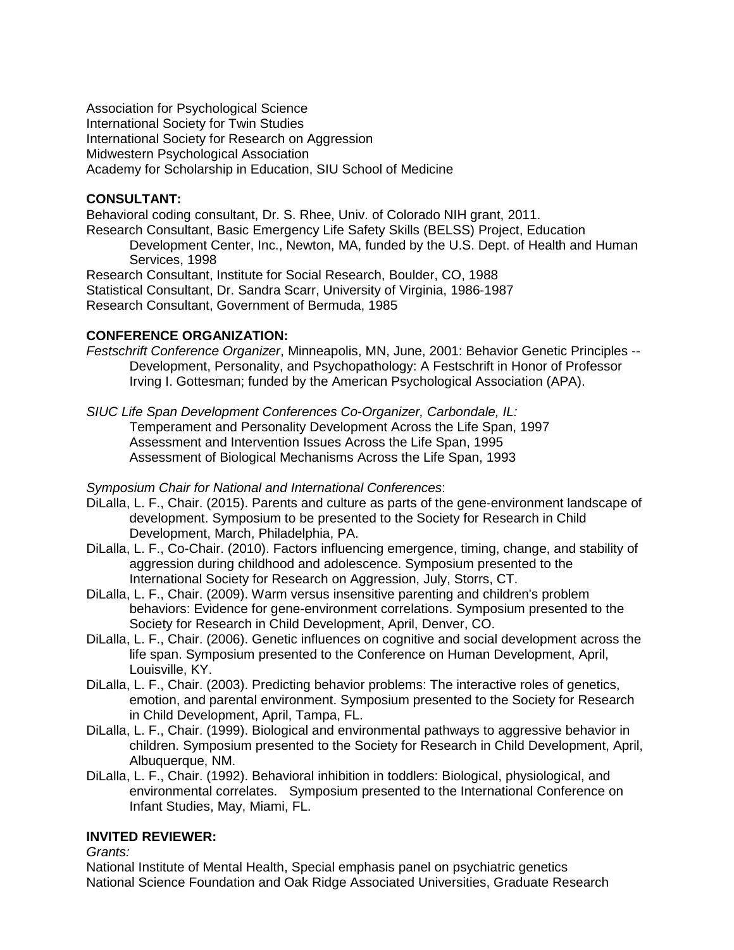Association for Psychological Science International Society for Twin Studies International Society for Research on Aggression Midwestern Psychological Association Academy for Scholarship in Education, SIU School of Medicine

# **CONSULTANT:**

Behavioral coding consultant, Dr. S. Rhee, Univ. of Colorado NIH grant, 2011. Research Consultant, Basic Emergency Life Safety Skills (BELSS) Project, Education Development Center, Inc., Newton, MA, funded by the U.S. Dept. of Health and Human Services, 1998 Research Consultant, Institute for Social Research, Boulder, CO, 1988

Statistical Consultant, Dr. Sandra Scarr, University of Virginia, 1986-1987 Research Consultant, Government of Bermuda, 1985

# **CONFERENCE ORGANIZATION:**

Festschrift Conference Organizer, Minneapolis, MN, June, 2001: Behavior Genetic Principles -- Development, Personality, and Psychopathology: A Festschrift in Honor of Professor Irving I. Gottesman; funded by the American Psychological Association (APA).

SIUC Life Span Development Conferences Co-Organizer, Carbondale, IL: Temperament and Personality Development Across the Life Span, 1997 Assessment and Intervention Issues Across the Life Span, 1995 Assessment of Biological Mechanisms Across the Life Span, 1993

Symposium Chair for National and International Conferences:

- DiLalla, L. F., Chair. (2015). Parents and culture as parts of the gene-environment landscape of development. Symposium to be presented to the Society for Research in Child Development, March, Philadelphia, PA.
- DiLalla, L. F., Co-Chair. (2010). Factors influencing emergence, timing, change, and stability of aggression during childhood and adolescence. Symposium presented to the International Society for Research on Aggression, July, Storrs, CT.
- DiLalla, L. F., Chair. (2009). Warm versus insensitive parenting and children's problem behaviors: Evidence for gene-environment correlations. Symposium presented to the Society for Research in Child Development, April, Denver, CO.
- DiLalla, L. F., Chair. (2006). Genetic influences on cognitive and social development across the life span. Symposium presented to the Conference on Human Development, April, Louisville, KY.
- DiLalla, L. F., Chair. (2003). Predicting behavior problems: The interactive roles of genetics, emotion, and parental environment. Symposium presented to the Society for Research in Child Development, April, Tampa, FL.
- DiLalla, L. F., Chair. (1999). Biological and environmental pathways to aggressive behavior in children. Symposium presented to the Society for Research in Child Development, April, Albuquerque, NM.
- DiLalla, L. F., Chair. (1992). Behavioral inhibition in toddlers: Biological, physiological, and environmental correlates. Symposium presented to the International Conference on Infant Studies, May, Miami, FL.

# **INVITED REVIEWER:**

Grants:

National Institute of Mental Health, Special emphasis panel on psychiatric genetics National Science Foundation and Oak Ridge Associated Universities, Graduate Research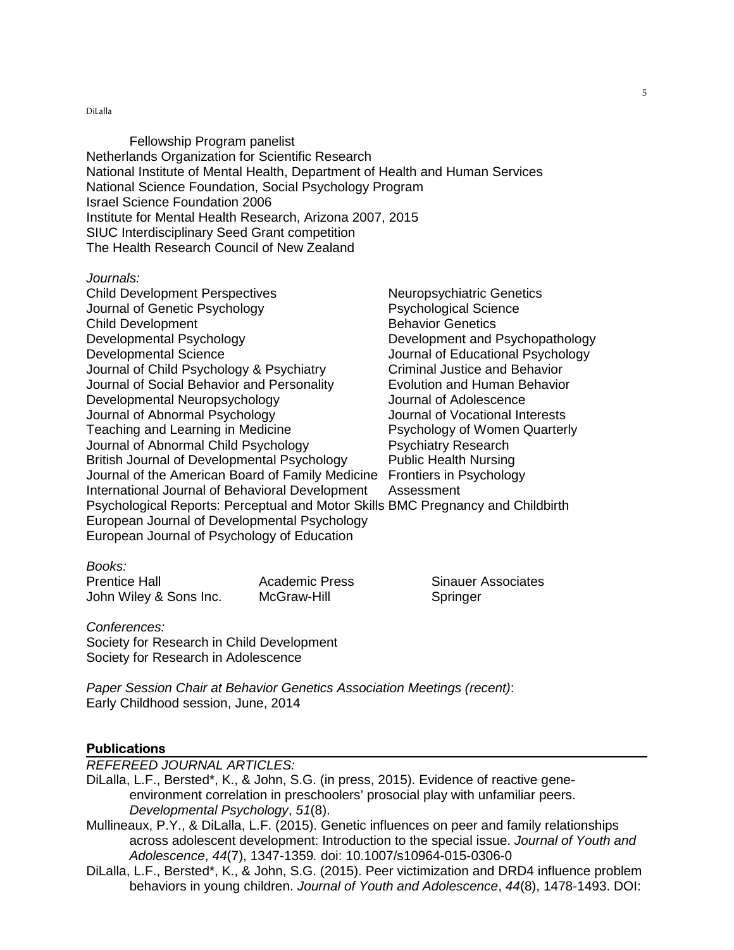Fellowship Program panelist Netherlands Organization for Scientific Research National Institute of Mental Health, Department of Health and Human Services National Science Foundation, Social Psychology Program Israel Science Foundation 2006 Institute for Mental Health Research, Arizona 2007, 2015 SIUC Interdisciplinary Seed Grant competition The Health Research Council of New Zealand

#### Journals:

Child Development Perspectives Neuropsychiatric Genetics Journal of Genetic Psychology Psychological Science Child Development **Behavior Genetics** Developmental Psychology Development and Psychopathology Developmental Science Journal of Educational Psychology Journal of Child Psychology & Psychiatry Criminal Justice and Behavior Journal of Social Behavior and Personality Evolution and Human Behavior Developmental Neuropsychology Journal of Adolescence Journal of Abnormal Psychology Journal of Vocational Interests Teaching and Learning in Medicine **Property** Psychology of Women Quarterly Journal of Abnormal Child Psychology Psychiatry Research British Journal of Developmental Psychology Public Health Nursing Journal of the American Board of Family Medicine Frontiers in Psychology International Journal of Behavioral Development Assessment Psychological Reports: Perceptual and Motor Skills BMC Pregnancy and Childbirth European Journal of Developmental Psychology European Journal of Psychology of Education

## Books:

Prentice Hall **Academic Press** Sinauer Associates John Wiley & Sons Inc. McGraw-Hill Springer

Conferences: Society for Research in Child Development Society for Research in Adolescence

Paper Session Chair at Behavior Genetics Association Meetings (recent): Early Childhood session, June, 2014

#### **Publications**

REFEREED JOURNAL ARTICLES:

- DiLalla, L.F., Bersted\*, K., & John, S.G. (in press, 2015). Evidence of reactive geneenvironment correlation in preschoolers' prosocial play with unfamiliar peers. Developmental Psychology, 51(8).
- Mullineaux, P.Y., & DiLalla, L.F. (2015). Genetic influences on peer and family relationships across adolescent development: Introduction to the special issue. Journal of Youth and Adolescence, 44(7), 1347-1359. doi: 10.1007/s10964-015-0306-0
- DiLalla, L.F., Bersted\*, K., & John, S.G. (2015). Peer victimization and DRD4 influence problem behaviors in young children. Journal of Youth and Adolescence, 44(8), 1478-1493. DOI: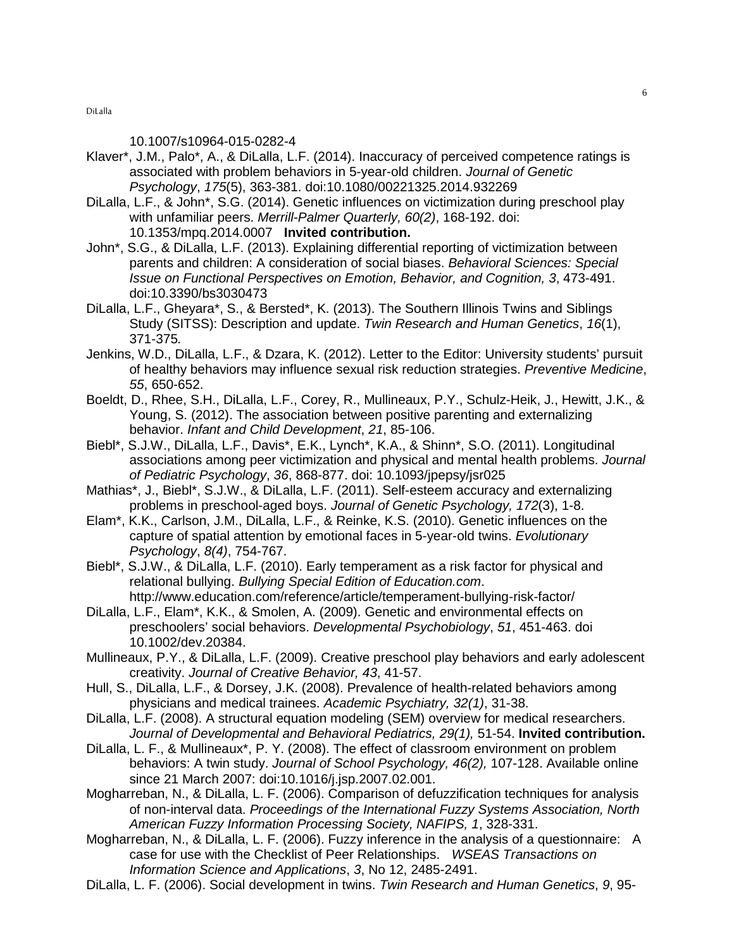### 10.1007/s10964-015-0282-4

- Klaver\*, J.M., Palo\*, A., & DiLalla, L.F. (2014). Inaccuracy of perceived competence ratings is associated with problem behaviors in 5-year-old children. Journal of Genetic Psychology, 175(5), 363-381. doi:10.1080/00221325.2014.932269
- DiLalla, L.F., & John\*, S.G. (2014). Genetic influences on victimization during preschool play with unfamiliar peers. Merrill-Palmer Quarterly, 60(2), 168-192. doi: 10.1353/mpq.2014.0007 **Invited contribution.**
- John\*, S.G., & DiLalla, L.F. (2013). Explaining differential reporting of victimization between parents and children: A consideration of social biases. Behavioral Sciences: Special Issue on Functional Perspectives on Emotion, Behavior, and Cognition, 3, 473-491. doi:10.3390/bs3030473
- DiLalla, L.F., Gheyara\*, S., & Bersted\*, K. (2013). The Southern Illinois Twins and Siblings Study (SITSS): Description and update. Twin Research and Human Genetics, 16(1), 371-375.
- Jenkins, W.D., DiLalla, L.F., & Dzara, K. (2012). Letter to the Editor: University students' pursuit of healthy behaviors may influence sexual risk reduction strategies. Preventive Medicine, 55, 650-652.
- Boeldt, D., Rhee, S.H., DiLalla, L.F., Corey, R., Mullineaux, P.Y., Schulz-Heik, J., Hewitt, J.K., & Young, S. (2012). The association between positive parenting and externalizing behavior. Infant and Child Development, 21, 85-106.
- Biebl\*, S.J.W., DiLalla, L.F., Davis\*, E.K., Lynch\*, K.A., & Shinn\*, S.O. (2011). Longitudinal associations among peer victimization and physical and mental health problems. Journal of Pediatric Psychology, 36, 868-877. doi: 10.1093/jpepsy/jsr025
- Mathias\*, J., Biebl\*, S.J.W., & DiLalla, L.F. (2011). Self-esteem accuracy and externalizing problems in preschool-aged boys. Journal of Genetic Psychology, 172(3), 1-8.
- Elam\*, K.K., Carlson, J.M., DiLalla, L.F., & Reinke, K.S. (2010). Genetic influences on the capture of spatial attention by emotional faces in 5-year-old twins. Evolutionary Psychology, 8(4), 754-767.
- Biebl\*, S.J.W., & DiLalla, L.F. (2010). Early temperament as a risk factor for physical and relational bullying. Bullying Special Edition of Education.com. http://www.education.com/reference/article/temperament-bullying-risk-factor/
- DiLalla, L.F., Elam\*, K.K., & Smolen, A. (2009). Genetic and environmental effects on preschoolers' social behaviors. Developmental Psychobiology, 51, 451-463. doi 10.1002/dev.20384.
- Mullineaux, P.Y., & DiLalla, L.F. (2009). Creative preschool play behaviors and early adolescent creativity. Journal of Creative Behavior, 43, 41-57.
- Hull, S., DiLalla, L.F., & Dorsey, J.K. (2008). Prevalence of health-related behaviors among physicians and medical trainees. Academic Psychiatry, 32(1), 31-38.
- DiLalla, L.F. (2008). A structural equation modeling (SEM) overview for medical researchers. Journal of Developmental and Behavioral Pediatrics, 29(1), 51-54. **Invited contribution.**
- DiLalla, L. F., & Mullineaux\*, P. Y. (2008). The effect of classroom environment on problem behaviors: A twin study. Journal of School Psychology, 46(2), 107-128. Available online since 21 March 2007: doi:10.1016/j.jsp.2007.02.001.
- Mogharreban, N., & DiLalla, L. F. (2006). Comparison of defuzzification techniques for analysis of non-interval data. Proceedings of the International Fuzzy Systems Association, North American Fuzzy Information Processing Society, NAFIPS, 1, 328-331.
- Mogharreban, N., & DiLalla, L. F. (2006). Fuzzy inference in the analysis of a questionnaire: A case for use with the Checklist of Peer Relationships. WSEAS Transactions on Information Science and Applications, 3, No 12, 2485-2491.
- DiLalla, L. F. (2006). Social development in twins. Twin Research and Human Genetics, 9, 95-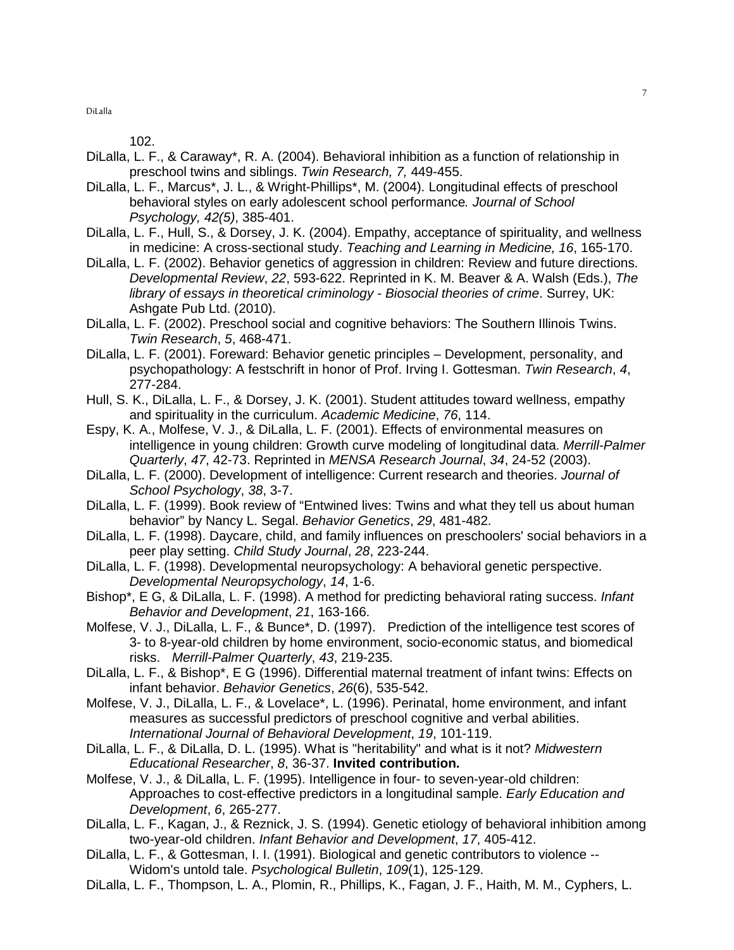102.

- DiLalla, L. F., & Caraway\*, R. A. (2004). Behavioral inhibition as a function of relationship in preschool twins and siblings. Twin Research, 7, 449-455.
- DiLalla, L. F., Marcus\*, J. L., & Wright-Phillips\*, M. (2004). Longitudinal effects of preschool behavioral styles on early adolescent school performance. Journal of School Psychology, 42(5), 385-401.
- DiLalla, L. F., Hull, S., & Dorsey, J. K. (2004). Empathy, acceptance of spirituality, and wellness in medicine: A cross-sectional study. Teaching and Learning in Medicine, 16, 165-170.
- DiLalla, L. F. (2002). Behavior genetics of aggression in children: Review and future directions. Developmental Review, 22, 593-622. Reprinted in K. M. Beaver & A. Walsh (Eds.), The library of essays in theoretical criminology - Biosocial theories of crime. Surrey, UK: Ashgate Pub Ltd. (2010).
- DiLalla, L. F. (2002). Preschool social and cognitive behaviors: The Southern Illinois Twins. Twin Research, 5, 468-471.
- DiLalla, L. F. (2001). Foreward: Behavior genetic principles Development, personality, and psychopathology: A festschrift in honor of Prof. Irving I. Gottesman. Twin Research, 4, 277-284.
- Hull, S. K., DiLalla, L. F., & Dorsey, J. K. (2001). Student attitudes toward wellness, empathy and spirituality in the curriculum. Academic Medicine, 76, 114.
- Espy, K. A., Molfese, V. J., & DiLalla, L. F. (2001). Effects of environmental measures on intelligence in young children: Growth curve modeling of longitudinal data. Merrill-Palmer Quarterly, 47, 42-73. Reprinted in MENSA Research Journal, 34, 24-52 (2003).
- DiLalla, L. F. (2000). Development of intelligence: Current research and theories. Journal of School Psychology, 38, 3-7.
- DiLalla, L. F. (1999). Book review of "Entwined lives: Twins and what they tell us about human behavior" by Nancy L. Segal. Behavior Genetics, 29, 481-482.
- DiLalla, L. F. (1998). Daycare, child, and family influences on preschoolers' social behaviors in a peer play setting. Child Study Journal, 28, 223-244.
- DiLalla, L. F. (1998). Developmental neuropsychology: A behavioral genetic perspective. Developmental Neuropsychology, 14, 1-6.
- Bishop\*, E G, & DiLalla, L. F. (1998). A method for predicting behavioral rating success. Infant Behavior and Development, 21, 163-166.
- Molfese, V. J., DiLalla, L. F., & Bunce\*, D. (1997). Prediction of the intelligence test scores of 3- to 8-year-old children by home environment, socio-economic status, and biomedical risks. Merrill-Palmer Quarterly, 43, 219-235.
- DiLalla, L. F., & Bishop\*, E G (1996). Differential maternal treatment of infant twins: Effects on infant behavior. Behavior Genetics, 26(6), 535-542.
- Molfese, V. J., DiLalla, L. F., & Lovelace\*, L. (1996). Perinatal, home environment, and infant measures as successful predictors of preschool cognitive and verbal abilities. International Journal of Behavioral Development, 19, 101-119.
- DiLalla, L. F., & DiLalla, D. L. (1995). What is "heritability" and what is it not? Midwestern Educational Researcher, 8, 36-37. **Invited contribution.**
- Molfese, V. J., & DiLalla, L. F. (1995). Intelligence in four- to seven-year-old children: Approaches to cost-effective predictors in a longitudinal sample. Early Education and Development, 6, 265-277.
- DiLalla, L. F., Kagan, J., & Reznick, J. S. (1994). Genetic etiology of behavioral inhibition among two-year-old children. Infant Behavior and Development, 17, 405-412.
- DiLalla, L. F., & Gottesman, I. I. (1991). Biological and genetic contributors to violence -- Widom's untold tale. Psychological Bulletin, 109(1), 125-129.
- DiLalla, L. F., Thompson, L. A., Plomin, R., Phillips, K., Fagan, J. F., Haith, M. M., Cyphers, L.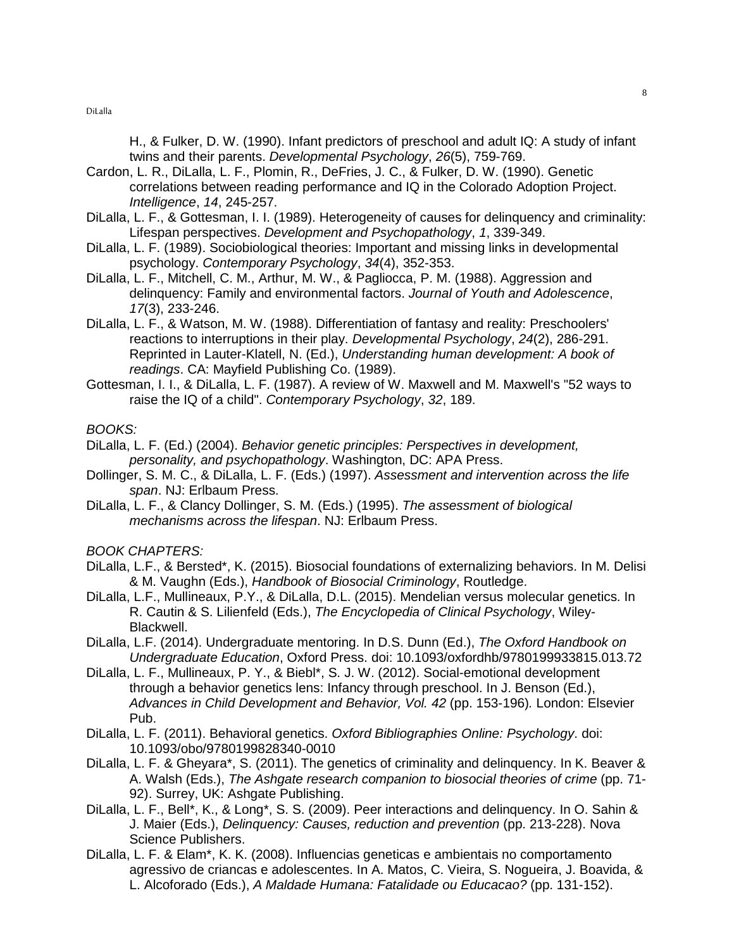H., & Fulker, D. W. (1990). Infant predictors of preschool and adult IQ: A study of infant twins and their parents. Developmental Psychology, 26(5), 759-769.

- Cardon, L. R., DiLalla, L. F., Plomin, R., DeFries, J. C., & Fulker, D. W. (1990). Genetic correlations between reading performance and IQ in the Colorado Adoption Project. Intelligence, 14, 245-257.
- DiLalla, L. F., & Gottesman, I. I. (1989). Heterogeneity of causes for delinquency and criminality: Lifespan perspectives. Development and Psychopathology, 1, 339-349.
- DiLalla, L. F. (1989). Sociobiological theories: Important and missing links in developmental psychology. Contemporary Psychology, 34(4), 352-353.
- DiLalla, L. F., Mitchell, C. M., Arthur, M. W., & Pagliocca, P. M. (1988). Aggression and delinquency: Family and environmental factors. Journal of Youth and Adolescence, 17(3), 233-246.
- DiLalla, L. F., & Watson, M. W. (1988). Differentiation of fantasy and reality: Preschoolers' reactions to interruptions in their play. Developmental Psychology, 24(2), 286-291. Reprinted in Lauter-Klatell, N. (Ed.), Understanding human development: A book of readings. CA: Mayfield Publishing Co. (1989).
- Gottesman, I. I., & DiLalla, L. F. (1987). A review of W. Maxwell and M. Maxwell's "52 ways to raise the IQ of a child". Contemporary Psychology, 32, 189.

### BOOKS:

- DiLalla, L. F. (Ed.) (2004). Behavior genetic principles: Perspectives in development, personality, and psychopathology. Washington, DC: APA Press.
- Dollinger, S. M. C., & DiLalla, L. F. (Eds.) (1997). Assessment and intervention across the life span. NJ: Erlbaum Press.
- DiLalla, L. F., & Clancy Dollinger, S. M. (Eds.) (1995). The assessment of biological mechanisms across the lifespan. NJ: Erlbaum Press.

#### BOOK CHAPTERS:

- DiLalla, L.F., & Bersted\*, K. (2015). Biosocial foundations of externalizing behaviors. In M. Delisi & M. Vaughn (Eds.), Handbook of Biosocial Criminology, Routledge.
- DiLalla, L.F., Mullineaux, P.Y., & DiLalla, D.L. (2015). Mendelian versus molecular genetics. In R. Cautin & S. Lilienfeld (Eds.), The Encyclopedia of Clinical Psychology, Wiley-Blackwell.
- DiLalla, L.F. (2014). Undergraduate mentoring. In D.S. Dunn (Ed.), The Oxford Handbook on Undergraduate Education, Oxford Press. doi: 10.1093/oxfordhb/9780199933815.013.72
- DiLalla, L. F., Mullineaux, P. Y., & Biebl\*, S. J. W. (2012). Social-emotional development through a behavior genetics lens: Infancy through preschool. In J. Benson (Ed.), Advances in Child Development and Behavior, Vol. 42 (pp. 153-196). London: Elsevier Pub.
- DiLalla, L. F. (2011). Behavioral genetics. Oxford Bibliographies Online: Psychology. doi: 10.1093/obo/9780199828340-0010
- DiLalla, L. F. & Gheyara\*, S. (2011). The genetics of criminality and delinquency. In K. Beaver & A. Walsh (Eds.), The Ashgate research companion to biosocial theories of crime (pp. 71- 92). Surrey, UK: Ashgate Publishing.
- DiLalla, L. F., Bell\*, K., & Long\*, S. S. (2009). Peer interactions and delinquency. In O. Sahin & J. Maier (Eds.), Delinquency: Causes, reduction and prevention (pp. 213-228). Nova Science Publishers.
- DiLalla, L. F. & Elam\*, K. K. (2008). Influencias geneticas e ambientais no comportamento agressivo de criancas e adolescentes. In A. Matos, C. Vieira, S. Nogueira, J. Boavida, & L. Alcoforado (Eds.), A Maldade Humana: Fatalidade ou Educacao? (pp. 131-152).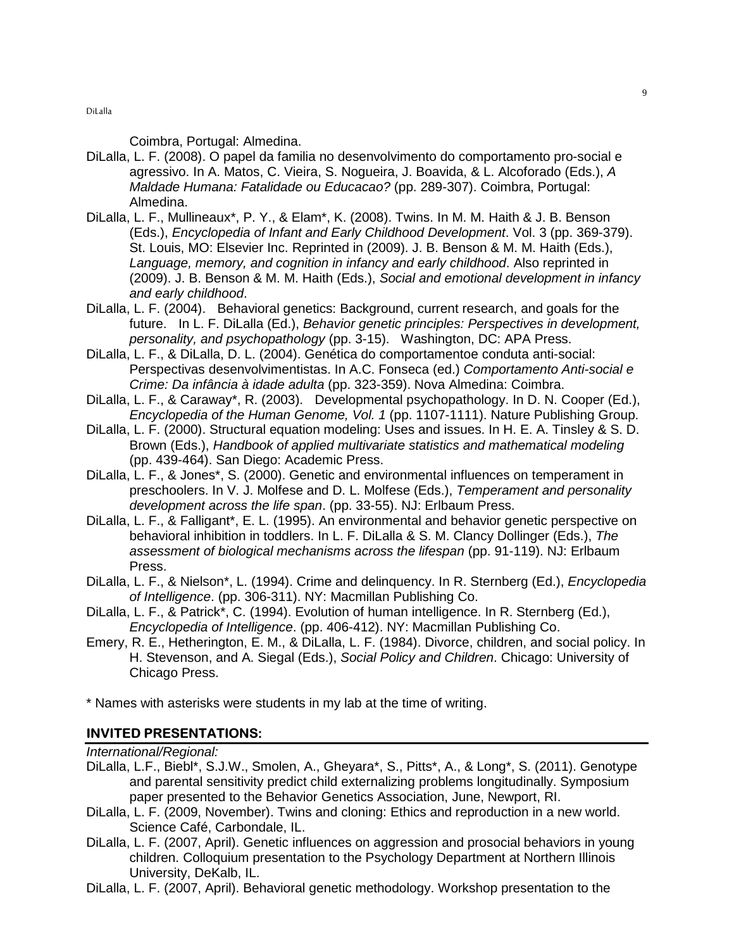Coimbra, Portugal: Almedina.

- DiLalla, L. F. (2008). O papel da familia no desenvolvimento do comportamento pro-social e agressivo. In A. Matos, C. Vieira, S. Nogueira, J. Boavida, & L. Alcoforado (Eds.), A Maldade Humana: Fatalidade ou Educacao? (pp. 289-307). Coimbra, Portugal: Almedina.
- DiLalla, L. F., Mullineaux\*, P. Y., & Elam\*, K. (2008). Twins. In M. M. Haith & J. B. Benson (Eds.), Encyclopedia of Infant and Early Childhood Development. Vol. 3 (pp. 369-379). St. Louis, MO: Elsevier Inc. Reprinted in (2009). J. B. Benson & M. M. Haith (Eds.), Language, memory, and cognition in infancy and early childhood. Also reprinted in (2009). J. B. Benson & M. M. Haith (Eds.), Social and emotional development in infancy and early childhood.
- DiLalla, L. F. (2004). Behavioral genetics: Background, current research, and goals for the future. In L. F. DiLalla (Ed.), Behavior genetic principles: Perspectives in development, personality, and psychopathology (pp. 3-15). Washington, DC: APA Press.
- DiLalla, L. F., & DiLalla, D. L. (2004). Genética do comportamentoe conduta anti-social: Perspectivas desenvolvimentistas. In A.C. Fonseca (ed.) Comportamento Anti-social e Crime: Da infância à idade adulta (pp. 323-359). Nova Almedina: Coimbra.
- DiLalla, L. F., & Caraway\*, R. (2003). Developmental psychopathology. In D. N. Cooper (Ed.), Encyclopedia of the Human Genome, Vol. 1 (pp. 1107-1111). Nature Publishing Group.
- DiLalla, L. F. (2000). Structural equation modeling: Uses and issues. In H. E. A. Tinsley & S. D. Brown (Eds.), Handbook of applied multivariate statistics and mathematical modeling (pp. 439-464). San Diego: Academic Press.
- DiLalla, L. F., & Jones\*, S. (2000). Genetic and environmental influences on temperament in preschoolers. In V. J. Molfese and D. L. Molfese (Eds.), Temperament and personality development across the life span. (pp. 33-55). NJ: Erlbaum Press.
- DiLalla, L. F., & Falligant\*, E. L. (1995). An environmental and behavior genetic perspective on behavioral inhibition in toddlers. In L. F. DiLalla & S. M. Clancy Dollinger (Eds.), The assessment of biological mechanisms across the lifespan (pp. 91-119). NJ: Erlbaum Press.
- DiLalla, L. F., & Nielson\*, L. (1994). Crime and delinquency. In R. Sternberg (Ed.), Encyclopedia of Intelligence. (pp. 306-311). NY: Macmillan Publishing Co.
- DiLalla, L. F., & Patrick\*, C. (1994). Evolution of human intelligence. In R. Sternberg (Ed.), Encyclopedia of Intelligence. (pp. 406-412). NY: Macmillan Publishing Co.
- Emery, R. E., Hetherington, E. M., & DiLalla, L. F. (1984). Divorce, children, and social policy. In H. Stevenson, and A. Siegal (Eds.), Social Policy and Children. Chicago: University of Chicago Press.

\* Names with asterisks were students in my lab at the time of writing.

## INVITED PRESENTATIONS**:**

International/Regional:

- DiLalla, L.F., Biebl\*, S.J.W., Smolen, A., Gheyara\*, S., Pitts\*, A., & Long\*, S. (2011). Genotype and parental sensitivity predict child externalizing problems longitudinally. Symposium paper presented to the Behavior Genetics Association, June, Newport, RI.
- DiLalla, L. F. (2009, November). Twins and cloning: Ethics and reproduction in a new world. Science Café, Carbondale, IL.
- DiLalla, L. F. (2007, April). Genetic influences on aggression and prosocial behaviors in young children. Colloquium presentation to the Psychology Department at Northern Illinois University, DeKalb, IL.
- DiLalla, L. F. (2007, April). Behavioral genetic methodology. Workshop presentation to the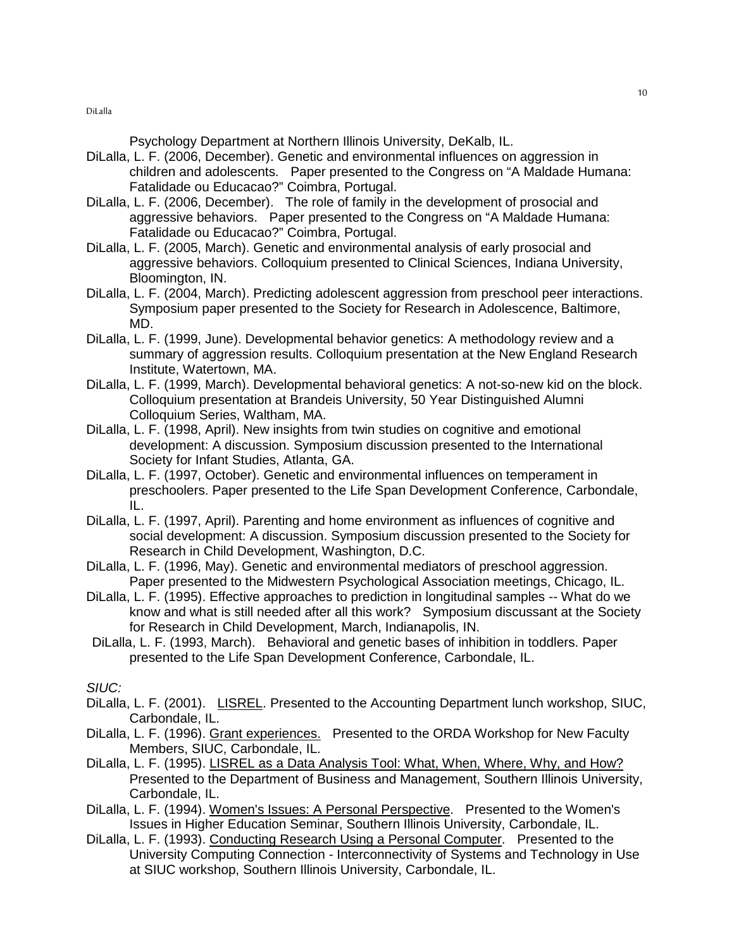Psychology Department at Northern Illinois University, DeKalb, IL.

- DiLalla, L. F. (2006, December). Genetic and environmental influences on aggression in children and adolescents. Paper presented to the Congress on "A Maldade Humana: Fatalidade ou Educacao?" Coimbra, Portugal.
- DiLalla, L. F. (2006, December). The role of family in the development of prosocial and aggressive behaviors. Paper presented to the Congress on "A Maldade Humana: Fatalidade ou Educacao?" Coimbra, Portugal.
- DiLalla, L. F. (2005, March). Genetic and environmental analysis of early prosocial and aggressive behaviors. Colloquium presented to Clinical Sciences, Indiana University, Bloomington, IN.
- DiLalla, L. F. (2004, March). Predicting adolescent aggression from preschool peer interactions. Symposium paper presented to the Society for Research in Adolescence, Baltimore, MD.
- DiLalla, L. F. (1999, June). Developmental behavior genetics: A methodology review and a summary of aggression results. Colloquium presentation at the New England Research Institute, Watertown, MA.
- DiLalla, L. F. (1999, March). Developmental behavioral genetics: A not-so-new kid on the block. Colloquium presentation at Brandeis University, 50 Year Distinguished Alumni Colloquium Series, Waltham, MA.
- DiLalla, L. F. (1998, April). New insights from twin studies on cognitive and emotional development: A discussion. Symposium discussion presented to the International Society for Infant Studies, Atlanta, GA.
- DiLalla, L. F. (1997, October). Genetic and environmental influences on temperament in preschoolers. Paper presented to the Life Span Development Conference, Carbondale, IL.
- DiLalla, L. F. (1997, April). Parenting and home environment as influences of cognitive and social development: A discussion. Symposium discussion presented to the Society for Research in Child Development, Washington, D.C.
- DiLalla, L. F. (1996, May). Genetic and environmental mediators of preschool aggression. Paper presented to the Midwestern Psychological Association meetings, Chicago, IL.
- DiLalla, L. F. (1995). Effective approaches to prediction in longitudinal samples -- What do we know and what is still needed after all this work? Symposium discussant at the Society for Research in Child Development, March, Indianapolis, IN.
- DiLalla, L. F. (1993, March). Behavioral and genetic bases of inhibition in toddlers. Paper presented to the Life Span Development Conference, Carbondale, IL.

SIUC:

- DiLalla, L. F. (2001). LISREL. Presented to the Accounting Department lunch workshop, SIUC, Carbondale, IL.
- DiLalla, L. F. (1996). Grant experiences. Presented to the ORDA Workshop for New Faculty Members, SIUC, Carbondale, IL.
- DiLalla, L. F. (1995). LISREL as a Data Analysis Tool: What, When, Where, Why, and How? Presented to the Department of Business and Management, Southern Illinois University, Carbondale, IL.
- DiLalla, L. F. (1994). Women's Issues: A Personal Perspective. Presented to the Women's Issues in Higher Education Seminar, Southern Illinois University, Carbondale, IL.
- DiLalla, L. F. (1993). Conducting Research Using a Personal Computer. Presented to the University Computing Connection - Interconnectivity of Systems and Technology in Use at SIUC workshop, Southern Illinois University, Carbondale, IL.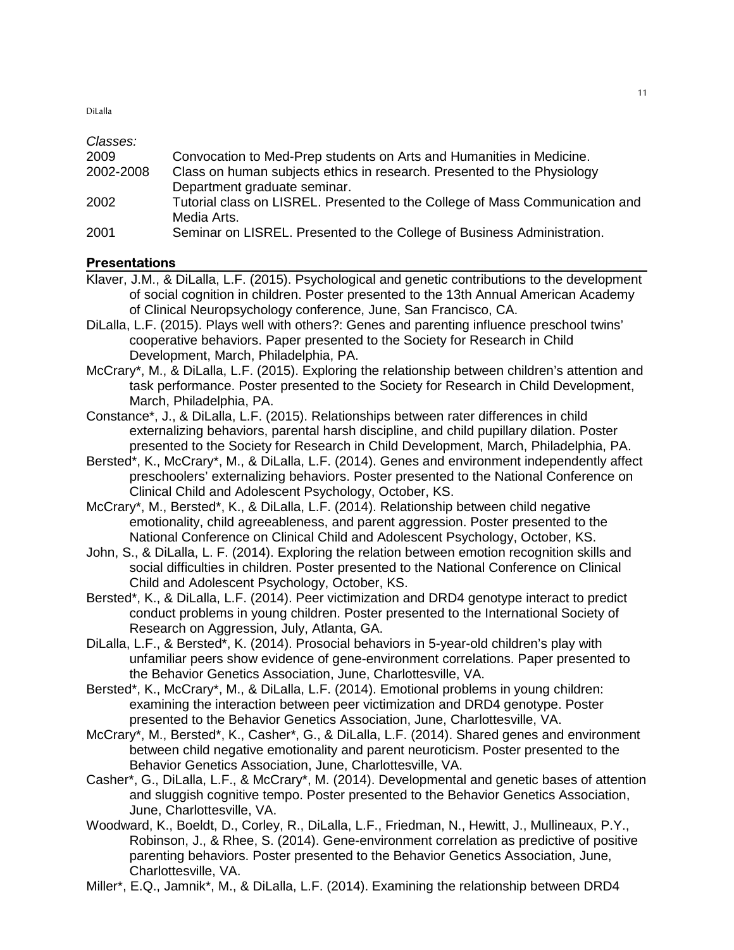| Classes:  |                                                                                             |
|-----------|---------------------------------------------------------------------------------------------|
| 2009      | Convocation to Med-Prep students on Arts and Humanities in Medicine.                        |
| 2002-2008 | Class on human subjects ethics in research. Presented to the Physiology                     |
|           | Department graduate seminar.                                                                |
| 2002      | Tutorial class on LISREL. Presented to the College of Mass Communication and<br>Media Arts. |
| 2001      | Seminar on LISREL. Presented to the College of Business Administration.                     |

## **Presentations**

- Klaver, J.M., & DiLalla, L.F. (2015). Psychological and genetic contributions to the development of social cognition in children. Poster presented to the 13th Annual American Academy of Clinical Neuropsychology conference, June, San Francisco, CA.
- DiLalla, L.F. (2015). Plays well with others?: Genes and parenting influence preschool twins' cooperative behaviors. Paper presented to the Society for Research in Child Development, March, Philadelphia, PA.
- McCrary\*, M., & DiLalla, L.F. (2015). Exploring the relationship between children's attention and task performance. Poster presented to the Society for Research in Child Development, March, Philadelphia, PA.
- Constance\*, J., & DiLalla, L.F. (2015). Relationships between rater differences in child externalizing behaviors, parental harsh discipline, and child pupillary dilation. Poster presented to the Society for Research in Child Development, March, Philadelphia, PA.
- Bersted\*, K., McCrary\*, M., & DiLalla, L.F. (2014). Genes and environment independently affect preschoolers' externalizing behaviors. Poster presented to the National Conference on Clinical Child and Adolescent Psychology, October, KS.
- McCrary\*, M., Bersted\*, K., & DiLalla, L.F. (2014). Relationship between child negative emotionality, child agreeableness, and parent aggression. Poster presented to the National Conference on Clinical Child and Adolescent Psychology, October, KS.
- John, S., & DiLalla, L. F. (2014). Exploring the relation between emotion recognition skills and social difficulties in children. Poster presented to the National Conference on Clinical Child and Adolescent Psychology, October, KS.
- Bersted\*, K., & DiLalla, L.F. (2014). Peer victimization and DRD4 genotype interact to predict conduct problems in young children. Poster presented to the International Society of Research on Aggression, July, Atlanta, GA.
- DiLalla, L.F., & Bersted\*, K. (2014). Prosocial behaviors in 5-year-old children's play with unfamiliar peers show evidence of gene-environment correlations. Paper presented to the Behavior Genetics Association, June, Charlottesville, VA.
- Bersted\*, K., McCrary\*, M., & DiLalla, L.F. (2014). Emotional problems in young children: examining the interaction between peer victimization and DRD4 genotype. Poster presented to the Behavior Genetics Association, June, Charlottesville, VA.
- McCrary\*, M., Bersted\*, K., Casher\*, G., & DiLalla, L.F. (2014). Shared genes and environment between child negative emotionality and parent neuroticism. Poster presented to the Behavior Genetics Association, June, Charlottesville, VA.
- Casher\*, G., DiLalla, L.F., & McCrary\*, M. (2014). Developmental and genetic bases of attention and sluggish cognitive tempo. Poster presented to the Behavior Genetics Association, June, Charlottesville, VA.
- Woodward, K., Boeldt, D., Corley, R., DiLalla, L.F., Friedman, N., Hewitt, J., Mullineaux, P.Y., Robinson, J., & Rhee, S. (2014). Gene-environment correlation as predictive of positive parenting behaviors. Poster presented to the Behavior Genetics Association, June, Charlottesville, VA.
- Miller\*, E.Q., Jamnik\*, M., & DiLalla, L.F. (2014). Examining the relationship between DRD4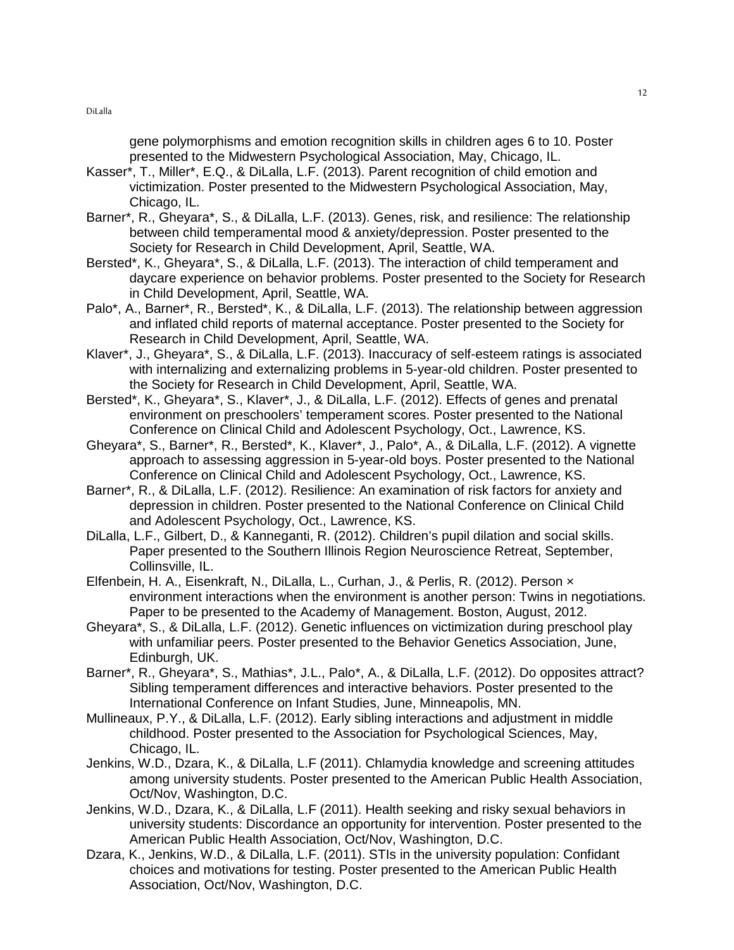gene polymorphisms and emotion recognition skills in children ages 6 to 10. Poster presented to the Midwestern Psychological Association, May, Chicago, IL.

- Kasser\*, T., Miller\*, E.Q., & DiLalla, L.F. (2013). Parent recognition of child emotion and victimization. Poster presented to the Midwestern Psychological Association, May, Chicago, IL.
- Barner\*, R., Gheyara\*, S., & DiLalla, L.F. (2013). Genes, risk, and resilience: The relationship between child temperamental mood & anxiety/depression. Poster presented to the Society for Research in Child Development, April, Seattle, WA.
- Bersted\*, K., Gheyara\*, S., & DiLalla, L.F. (2013). The interaction of child temperament and daycare experience on behavior problems. Poster presented to the Society for Research in Child Development, April, Seattle, WA.
- Palo\*, A., Barner\*, R., Bersted\*, K., & DiLalla, L.F. (2013). The relationship between aggression and inflated child reports of maternal acceptance. Poster presented to the Society for Research in Child Development, April, Seattle, WA.
- Klaver\*, J., Gheyara\*, S., & DiLalla, L.F. (2013). Inaccuracy of self-esteem ratings is associated with internalizing and externalizing problems in 5-year-old children. Poster presented to the Society for Research in Child Development, April, Seattle, WA.
- Bersted\*, K., Gheyara\*, S., Klaver\*, J., & DiLalla, L.F. (2012). Effects of genes and prenatal environment on preschoolers' temperament scores. Poster presented to the National Conference on Clinical Child and Adolescent Psychology, Oct., Lawrence, KS.
- Gheyara\*, S., Barner\*, R., Bersted\*, K., Klaver\*, J., Palo\*, A., & DiLalla, L.F. (2012). A vignette approach to assessing aggression in 5-year-old boys. Poster presented to the National Conference on Clinical Child and Adolescent Psychology, Oct., Lawrence, KS.
- Barner\*, R., & DiLalla, L.F. (2012). Resilience: An examination of risk factors for anxiety and depression in children. Poster presented to the National Conference on Clinical Child and Adolescent Psychology, Oct., Lawrence, KS.
- DiLalla, L.F., Gilbert, D., & Kanneganti, R. (2012). Children's pupil dilation and social skills. Paper presented to the Southern Illinois Region Neuroscience Retreat, September, Collinsville, IL.
- Elfenbein, H. A., Eisenkraft, N., DiLalla, L., Curhan, J., & Perlis, R. (2012). Person × environment interactions when the environment is another person: Twins in negotiations. Paper to be presented to the Academy of Management. Boston, August, 2012.
- Gheyara\*, S., & DiLalla, L.F. (2012). Genetic influences on victimization during preschool play with unfamiliar peers. Poster presented to the Behavior Genetics Association, June, Edinburgh, UK.
- Barner\*, R., Gheyara\*, S., Mathias\*, J.L., Palo\*, A., & DiLalla, L.F. (2012). Do opposites attract? Sibling temperament differences and interactive behaviors. Poster presented to the International Conference on Infant Studies, June, Minneapolis, MN.
- Mullineaux, P.Y., & DiLalla, L.F. (2012). Early sibling interactions and adjustment in middle childhood. Poster presented to the Association for Psychological Sciences, May, Chicago, IL.
- Jenkins, W.D., Dzara, K., & DiLalla, L.F (2011). Chlamydia knowledge and screening attitudes among university students. Poster presented to the American Public Health Association, Oct/Nov, Washington, D.C.
- Jenkins, W.D., Dzara, K., & DiLalla, L.F (2011). Health seeking and risky sexual behaviors in university students: Discordance an opportunity for intervention. Poster presented to the American Public Health Association, Oct/Nov, Washington, D.C.
- Dzara, K., Jenkins, W.D., & DiLalla, L.F. (2011). STIs in the university population: Confidant choices and motivations for testing. Poster presented to the American Public Health Association, Oct/Nov, Washington, D.C.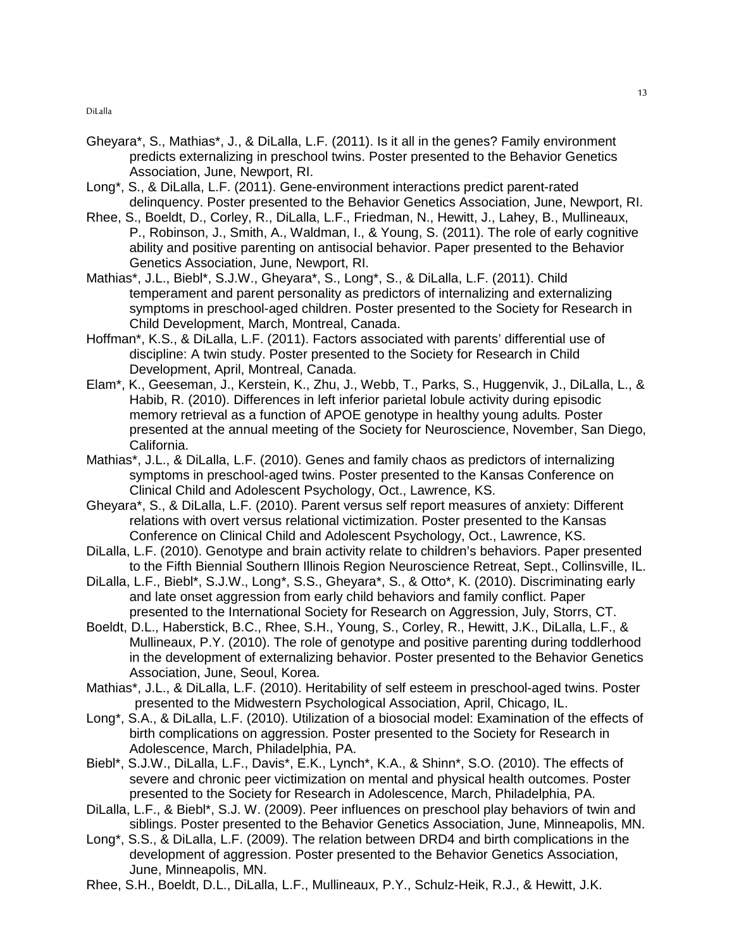- Gheyara\*, S., Mathias\*, J., & DiLalla, L.F. (2011). Is it all in the genes? Family environment predicts externalizing in preschool twins. Poster presented to the Behavior Genetics Association, June, Newport, RI.
- Long\*, S., & DiLalla, L.F. (2011). Gene-environment interactions predict parent-rated delinquency. Poster presented to the Behavior Genetics Association, June, Newport, RI.
- Rhee, S., Boeldt, D., Corley, R., DiLalla, L.F., Friedman, N., Hewitt, J., Lahey, B., Mullineaux, P., Robinson, J., Smith, A., Waldman, I., & Young, S. (2011). The role of early cognitive ability and positive parenting on antisocial behavior. Paper presented to the Behavior Genetics Association, June, Newport, RI.
- Mathias\*, J.L., Biebl\*, S.J.W., Gheyara\*, S., Long\*, S., & DiLalla, L.F. (2011). Child temperament and parent personality as predictors of internalizing and externalizing symptoms in preschool-aged children. Poster presented to the Society for Research in Child Development, March, Montreal, Canada.
- Hoffman\*, K.S., & DiLalla, L.F. (2011). Factors associated with parents' differential use of discipline: A twin study. Poster presented to the Society for Research in Child Development, April, Montreal, Canada.
- Elam\*, K., Geeseman, J., Kerstein, K., Zhu, J., Webb, T., Parks, S., Huggenvik, J., DiLalla, L., & Habib, R. (2010). Differences in left inferior parietal lobule activity during episodic memory retrieval as a function of APOE genotype in healthy young adults. Poster presented at the annual meeting of the Society for Neuroscience, November, San Diego, California.
- Mathias\*, J.L., & DiLalla, L.F. (2010). Genes and family chaos as predictors of internalizing symptoms in preschool-aged twins. Poster presented to the Kansas Conference on Clinical Child and Adolescent Psychology, Oct., Lawrence, KS.
- Gheyara\*, S., & DiLalla, L.F. (2010). Parent versus self report measures of anxiety: Different relations with overt versus relational victimization. Poster presented to the Kansas Conference on Clinical Child and Adolescent Psychology, Oct., Lawrence, KS.
- DiLalla, L.F. (2010). Genotype and brain activity relate to children's behaviors. Paper presented to the Fifth Biennial Southern Illinois Region Neuroscience Retreat, Sept., Collinsville, IL.
- DiLalla, L.F., Biebl\*, S.J.W., Long\*, S.S., Gheyara\*, S., & Otto\*, K. (2010). Discriminating early and late onset aggression from early child behaviors and family conflict. Paper presented to the International Society for Research on Aggression, July, Storrs, CT.
- Boeldt, D.L., Haberstick, B.C., Rhee, S.H., Young, S., Corley, R., Hewitt, J.K., DiLalla, L.F., & Mullineaux, P.Y. (2010). The role of genotype and positive parenting during toddlerhood in the development of externalizing behavior. Poster presented to the Behavior Genetics Association, June, Seoul, Korea.
- Mathias\*, J.L., & DiLalla, L.F. (2010). Heritability of self esteem in preschool-aged twins. Poster presented to the Midwestern Psychological Association, April, Chicago, IL.
- Long\*, S.A., & DiLalla, L.F. (2010). Utilization of a biosocial model: Examination of the effects of birth complications on aggression. Poster presented to the Society for Research in Adolescence, March, Philadelphia, PA.
- Biebl\*, S.J.W., DiLalla, L.F., Davis\*, E.K., Lynch\*, K.A., & Shinn\*, S.O. (2010). The effects of severe and chronic peer victimization on mental and physical health outcomes. Poster presented to the Society for Research in Adolescence, March, Philadelphia, PA.
- DiLalla, L.F., & Biebl\*, S.J. W. (2009). Peer influences on preschool play behaviors of twin and siblings. Poster presented to the Behavior Genetics Association, June, Minneapolis, MN.
- Long\*, S.S., & DiLalla, L.F. (2009). The relation between DRD4 and birth complications in the development of aggression. Poster presented to the Behavior Genetics Association, June, Minneapolis, MN.
- Rhee, S.H., Boeldt, D.L., DiLalla, L.F., Mullineaux, P.Y., Schulz-Heik, R.J., & Hewitt, J.K.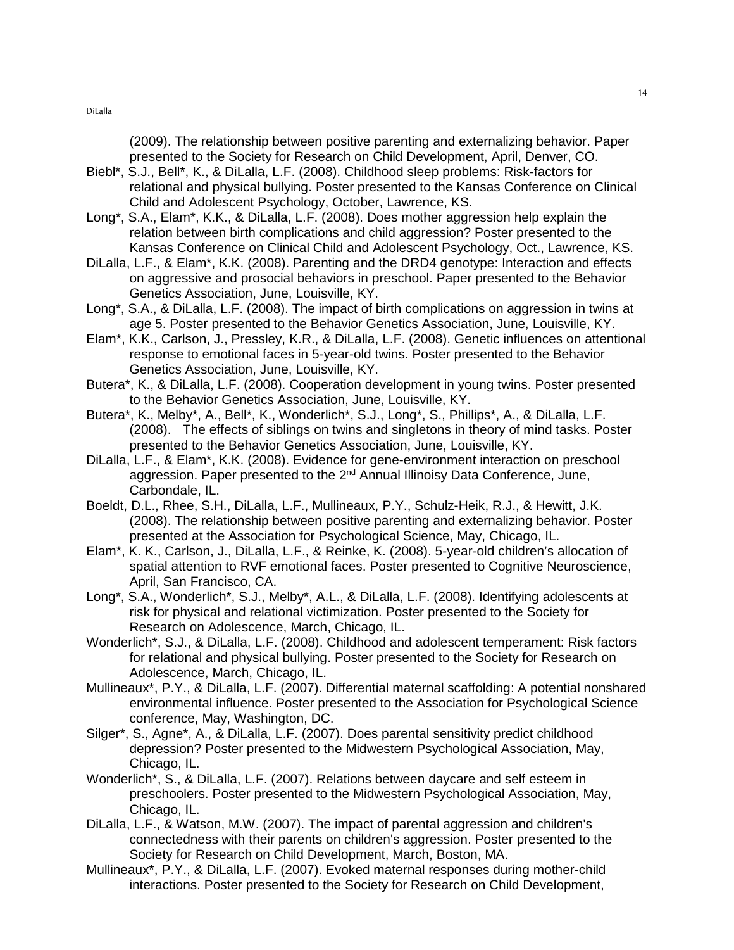(2009). The relationship between positive parenting and externalizing behavior. Paper presented to the Society for Research on Child Development, April, Denver, CO.

- Biebl\*, S.J., Bell\*, K., & DiLalla, L.F. (2008). Childhood sleep problems: Risk-factors for relational and physical bullying. Poster presented to the Kansas Conference on Clinical Child and Adolescent Psychology, October, Lawrence, KS.
- Long\*, S.A., Elam\*, K.K., & DiLalla, L.F. (2008). Does mother aggression help explain the relation between birth complications and child aggression? Poster presented to the Kansas Conference on Clinical Child and Adolescent Psychology, Oct., Lawrence, KS.
- DiLalla, L.F., & Elam\*, K.K. (2008). Parenting and the DRD4 genotype: Interaction and effects on aggressive and prosocial behaviors in preschool. Paper presented to the Behavior Genetics Association, June, Louisville, KY.
- Long\*, S.A., & DiLalla, L.F. (2008). The impact of birth complications on aggression in twins at age 5. Poster presented to the Behavior Genetics Association, June, Louisville, KY.
- Elam\*, K.K., Carlson, J., Pressley, K.R., & DiLalla, L.F. (2008). Genetic influences on attentional response to emotional faces in 5-year-old twins. Poster presented to the Behavior Genetics Association, June, Louisville, KY.
- Butera\*, K., & DiLalla, L.F. (2008). Cooperation development in young twins. Poster presented to the Behavior Genetics Association, June, Louisville, KY.
- Butera\*, K., Melby\*, A., Bell\*, K., Wonderlich\*, S.J., Long\*, S., Phillips\*, A., & DiLalla, L.F. (2008). The effects of siblings on twins and singletons in theory of mind tasks. Poster presented to the Behavior Genetics Association, June, Louisville, KY.
- DiLalla, L.F., & Elam\*, K.K. (2008). Evidence for gene-environment interaction on preschool aggression. Paper presented to the 2<sup>nd</sup> Annual Illinoisy Data Conference, June, Carbondale, IL.
- Boeldt, D.L., Rhee, S.H., DiLalla, L.F., Mullineaux, P.Y., Schulz-Heik, R.J., & Hewitt, J.K. (2008). The relationship between positive parenting and externalizing behavior. Poster presented at the Association for Psychological Science, May, Chicago, IL.
- Elam\*, K. K., Carlson, J., DiLalla, L.F., & Reinke, K. (2008). 5-year-old children's allocation of spatial attention to RVF emotional faces. Poster presented to Cognitive Neuroscience, April, San Francisco, CA.
- Long\*, S.A., Wonderlich\*, S.J., Melby\*, A.L., & DiLalla, L.F. (2008). Identifying adolescents at risk for physical and relational victimization. Poster presented to the Society for Research on Adolescence, March, Chicago, IL.
- Wonderlich\*, S.J., & DiLalla, L.F. (2008). Childhood and adolescent temperament: Risk factors for relational and physical bullying. Poster presented to the Society for Research on Adolescence, March, Chicago, IL.
- Mullineaux\*, P.Y., & DiLalla, L.F. (2007). Differential maternal scaffolding: A potential nonshared environmental influence. Poster presented to the Association for Psychological Science conference, May, Washington, DC.
- Silger\*, S., Agne\*, A., & DiLalla, L.F. (2007). Does parental sensitivity predict childhood depression? Poster presented to the Midwestern Psychological Association, May, Chicago, IL.
- Wonderlich\*, S., & DiLalla, L.F. (2007). Relations between daycare and self esteem in preschoolers. Poster presented to the Midwestern Psychological Association, May, Chicago, IL.
- DiLalla, L.F., & Watson, M.W. (2007). The impact of parental aggression and children's connectedness with their parents on children's aggression. Poster presented to the Society for Research on Child Development, March, Boston, MA.
- Mullineaux\*, P.Y., & DiLalla, L.F. (2007). Evoked maternal responses during mother-child interactions. Poster presented to the Society for Research on Child Development,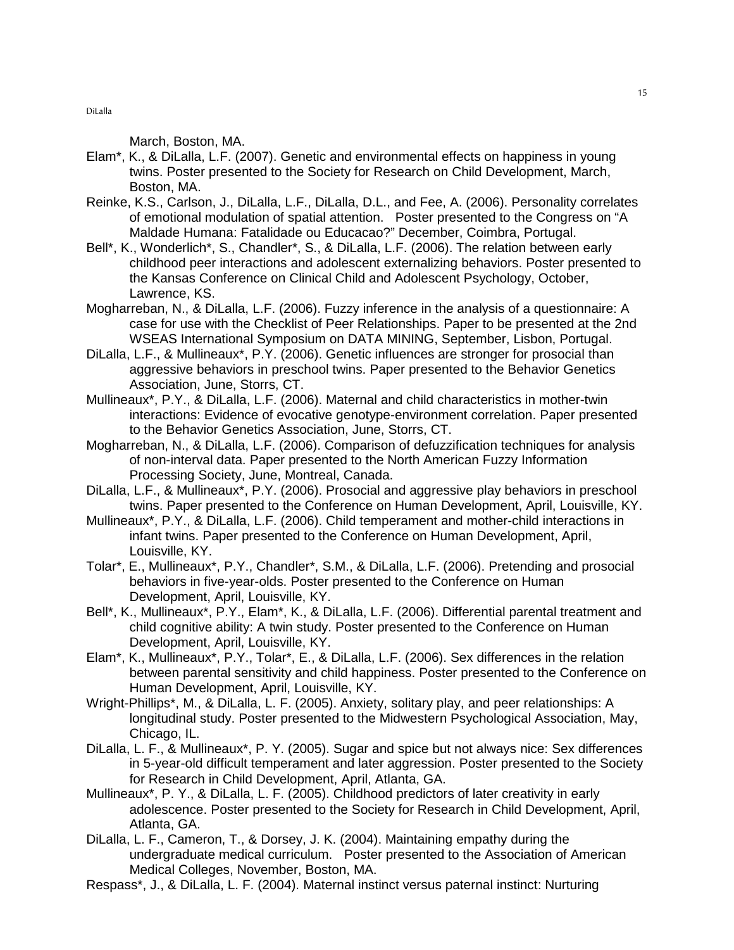March, Boston, MA.

- Elam\*, K., & DiLalla, L.F. (2007). Genetic and environmental effects on happiness in young twins. Poster presented to the Society for Research on Child Development, March, Boston, MA.
- Reinke, K.S., Carlson, J., DiLalla, L.F., DiLalla, D.L., and Fee, A. (2006). Personality correlates of emotional modulation of spatial attention. Poster presented to the Congress on "A Maldade Humana: Fatalidade ou Educacao?" December, Coimbra, Portugal.
- Bell\*, K., Wonderlich\*, S., Chandler\*, S., & DiLalla, L.F. (2006). The relation between early childhood peer interactions and adolescent externalizing behaviors. Poster presented to the Kansas Conference on Clinical Child and Adolescent Psychology, October, Lawrence, KS.
- Mogharreban, N., & DiLalla, L.F. (2006). Fuzzy inference in the analysis of a questionnaire: A case for use with the Checklist of Peer Relationships. Paper to be presented at the 2nd WSEAS International Symposium on DATA MINING, September, Lisbon, Portugal.
- DiLalla, L.F., & Mullineaux\*, P.Y. (2006). Genetic influences are stronger for prosocial than aggressive behaviors in preschool twins. Paper presented to the Behavior Genetics Association, June, Storrs, CT.
- Mullineaux\*, P.Y., & DiLalla, L.F. (2006). Maternal and child characteristics in mother-twin interactions: Evidence of evocative genotype-environment correlation. Paper presented to the Behavior Genetics Association, June, Storrs, CT.
- Mogharreban, N., & DiLalla, L.F. (2006). Comparison of defuzzification techniques for analysis of non-interval data. Paper presented to the North American Fuzzy Information Processing Society, June, Montreal, Canada.
- DiLalla, L.F., & Mullineaux\*, P.Y. (2006). Prosocial and aggressive play behaviors in preschool twins. Paper presented to the Conference on Human Development, April, Louisville, KY.
- Mullineaux\*, P.Y., & DiLalla, L.F. (2006). Child temperament and mother-child interactions in infant twins. Paper presented to the Conference on Human Development, April, Louisville, KY.
- Tolar\*, E., Mullineaux\*, P.Y., Chandler\*, S.M., & DiLalla, L.F. (2006). Pretending and prosocial behaviors in five-year-olds. Poster presented to the Conference on Human Development, April, Louisville, KY.
- Bell\*, K., Mullineaux\*, P.Y., Elam\*, K., & DiLalla, L.F. (2006). Differential parental treatment and child cognitive ability: A twin study. Poster presented to the Conference on Human Development, April, Louisville, KY.
- Elam\*, K., Mullineaux\*, P.Y., Tolar\*, E., & DiLalla, L.F. (2006). Sex differences in the relation between parental sensitivity and child happiness. Poster presented to the Conference on Human Development, April, Louisville, KY.
- Wright-Phillips\*, M., & DiLalla, L. F. (2005). Anxiety, solitary play, and peer relationships: A longitudinal study. Poster presented to the Midwestern Psychological Association, May, Chicago, IL.
- DiLalla, L. F., & Mullineaux\*, P. Y. (2005). Sugar and spice but not always nice: Sex differences in 5-year-old difficult temperament and later aggression. Poster presented to the Society for Research in Child Development, April, Atlanta, GA.
- Mullineaux\*, P. Y., & DiLalla, L. F. (2005). Childhood predictors of later creativity in early adolescence. Poster presented to the Society for Research in Child Development, April, Atlanta, GA.
- DiLalla, L. F., Cameron, T., & Dorsey, J. K. (2004). Maintaining empathy during the undergraduate medical curriculum. Poster presented to the Association of American Medical Colleges, November, Boston, MA.
- Respass\*, J., & DiLalla, L. F. (2004). Maternal instinct versus paternal instinct: Nurturing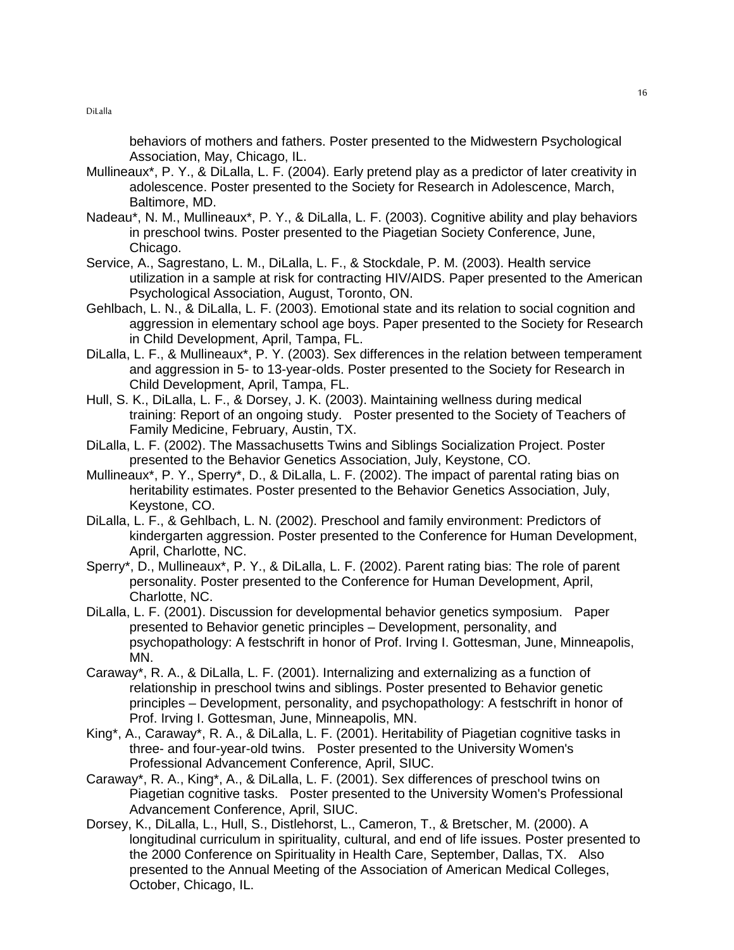behaviors of mothers and fathers. Poster presented to the Midwestern Psychological Association, May, Chicago, IL.

- Mullineaux\*, P. Y., & DiLalla, L. F. (2004). Early pretend play as a predictor of later creativity in adolescence. Poster presented to the Society for Research in Adolescence, March, Baltimore, MD.
- Nadeau\*, N. M., Mullineaux\*, P. Y., & DiLalla, L. F. (2003). Cognitive ability and play behaviors in preschool twins. Poster presented to the Piagetian Society Conference, June, Chicago.
- Service, A., Sagrestano, L. M., DiLalla, L. F., & Stockdale, P. M. (2003). Health service utilization in a sample at risk for contracting HIV/AIDS. Paper presented to the American Psychological Association, August, Toronto, ON.
- Gehlbach, L. N., & DiLalla, L. F. (2003). Emotional state and its relation to social cognition and aggression in elementary school age boys. Paper presented to the Society for Research in Child Development, April, Tampa, FL.
- DiLalla, L. F., & Mullineaux\*, P. Y. (2003). Sex differences in the relation between temperament and aggression in 5- to 13-year-olds. Poster presented to the Society for Research in Child Development, April, Tampa, FL.
- Hull, S. K., DiLalla, L. F., & Dorsey, J. K. (2003). Maintaining wellness during medical training: Report of an ongoing study. Poster presented to the Society of Teachers of Family Medicine, February, Austin, TX.
- DiLalla, L. F. (2002). The Massachusetts Twins and Siblings Socialization Project. Poster presented to the Behavior Genetics Association, July, Keystone, CO.
- Mullineaux\*, P. Y., Sperry\*, D., & DiLalla, L. F. (2002). The impact of parental rating bias on heritability estimates. Poster presented to the Behavior Genetics Association, July, Keystone, CO.
- DiLalla, L. F., & Gehlbach, L. N. (2002). Preschool and family environment: Predictors of kindergarten aggression. Poster presented to the Conference for Human Development, April, Charlotte, NC.
- Sperry\*, D., Mullineaux\*, P. Y., & DiLalla, L. F. (2002). Parent rating bias: The role of parent personality. Poster presented to the Conference for Human Development, April, Charlotte, NC.
- DiLalla, L. F. (2001). Discussion for developmental behavior genetics symposium. Paper presented to Behavior genetic principles – Development, personality, and psychopathology: A festschrift in honor of Prof. Irving I. Gottesman, June, Minneapolis, MN.
- Caraway\*, R. A., & DiLalla, L. F. (2001). Internalizing and externalizing as a function of relationship in preschool twins and siblings. Poster presented to Behavior genetic principles – Development, personality, and psychopathology: A festschrift in honor of Prof. Irving I. Gottesman, June, Minneapolis, MN.
- King\*, A., Caraway\*, R. A., & DiLalla, L. F. (2001). Heritability of Piagetian cognitive tasks in three- and four-year-old twins. Poster presented to the University Women's Professional Advancement Conference, April, SIUC.
- Caraway\*, R. A., King\*, A., & DiLalla, L. F. (2001). Sex differences of preschool twins on Piagetian cognitive tasks. Poster presented to the University Women's Professional Advancement Conference, April, SIUC.
- Dorsey, K., DiLalla, L., Hull, S., Distlehorst, L., Cameron, T., & Bretscher, M. (2000). A longitudinal curriculum in spirituality, cultural, and end of life issues. Poster presented to the 2000 Conference on Spirituality in Health Care, September, Dallas, TX. Also presented to the Annual Meeting of the Association of American Medical Colleges, October, Chicago, IL.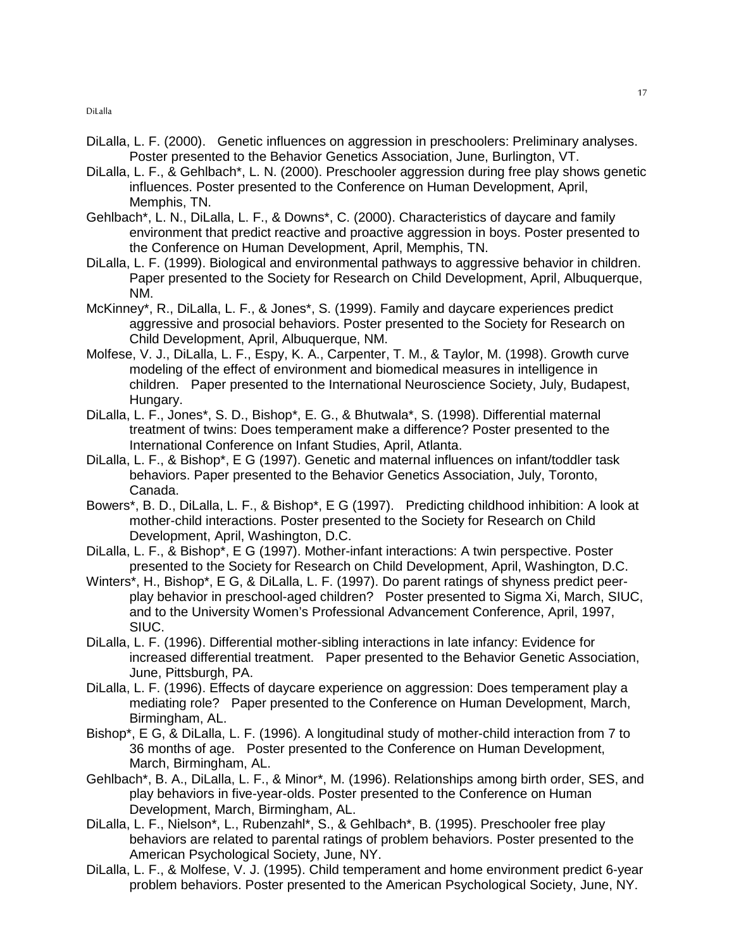- DiLalla, L. F. (2000). Genetic influences on aggression in preschoolers: Preliminary analyses. Poster presented to the Behavior Genetics Association, June, Burlington, VT.
- DiLalla, L. F., & Gehlbach\*, L. N. (2000). Preschooler aggression during free play shows genetic influences. Poster presented to the Conference on Human Development, April, Memphis, TN.
- Gehlbach\*, L. N., DiLalla, L. F., & Downs\*, C. (2000). Characteristics of daycare and family environment that predict reactive and proactive aggression in boys. Poster presented to the Conference on Human Development, April, Memphis, TN.
- DiLalla, L. F. (1999). Biological and environmental pathways to aggressive behavior in children. Paper presented to the Society for Research on Child Development, April, Albuquerque, NM.
- McKinney\*, R., DiLalla, L. F., & Jones\*, S. (1999). Family and daycare experiences predict aggressive and prosocial behaviors. Poster presented to the Society for Research on Child Development, April, Albuquerque, NM.
- Molfese, V. J., DiLalla, L. F., Espy, K. A., Carpenter, T. M., & Taylor, M. (1998). Growth curve modeling of the effect of environment and biomedical measures in intelligence in children. Paper presented to the International Neuroscience Society, July, Budapest, Hungary.
- DiLalla, L. F., Jones\*, S. D., Bishop\*, E. G., & Bhutwala\*, S. (1998). Differential maternal treatment of twins: Does temperament make a difference? Poster presented to the International Conference on Infant Studies, April, Atlanta.
- DiLalla, L. F., & Bishop\*, E G (1997). Genetic and maternal influences on infant/toddler task behaviors. Paper presented to the Behavior Genetics Association, July, Toronto, Canada.
- Bowers\*, B. D., DiLalla, L. F., & Bishop\*, E G (1997). Predicting childhood inhibition: A look at mother-child interactions. Poster presented to the Society for Research on Child Development, April, Washington, D.C.
- DiLalla, L. F., & Bishop\*, E G (1997). Mother-infant interactions: A twin perspective. Poster presented to the Society for Research on Child Development, April, Washington, D.C.
- Winters\*, H., Bishop\*, E G, & DiLalla, L. F. (1997). Do parent ratings of shyness predict peerplay behavior in preschool-aged children? Poster presented to Sigma Xi, March, SIUC, and to the University Women's Professional Advancement Conference, April, 1997, SIUC.
- DiLalla, L. F. (1996). Differential mother-sibling interactions in late infancy: Evidence for increased differential treatment. Paper presented to the Behavior Genetic Association, June, Pittsburgh, PA.
- DiLalla, L. F. (1996). Effects of daycare experience on aggression: Does temperament play a mediating role? Paper presented to the Conference on Human Development, March, Birmingham, AL.
- Bishop\*, E G, & DiLalla, L. F. (1996). A longitudinal study of mother-child interaction from 7 to 36 months of age. Poster presented to the Conference on Human Development, March, Birmingham, AL.
- Gehlbach\*, B. A., DiLalla, L. F., & Minor\*, M. (1996). Relationships among birth order, SES, and play behaviors in five-year-olds. Poster presented to the Conference on Human Development, March, Birmingham, AL.
- DiLalla, L. F., Nielson\*, L., Rubenzahl\*, S., & Gehlbach\*, B. (1995). Preschooler free play behaviors are related to parental ratings of problem behaviors. Poster presented to the American Psychological Society, June, NY.
- DiLalla, L. F., & Molfese, V. J. (1995). Child temperament and home environment predict 6-year problem behaviors. Poster presented to the American Psychological Society, June, NY.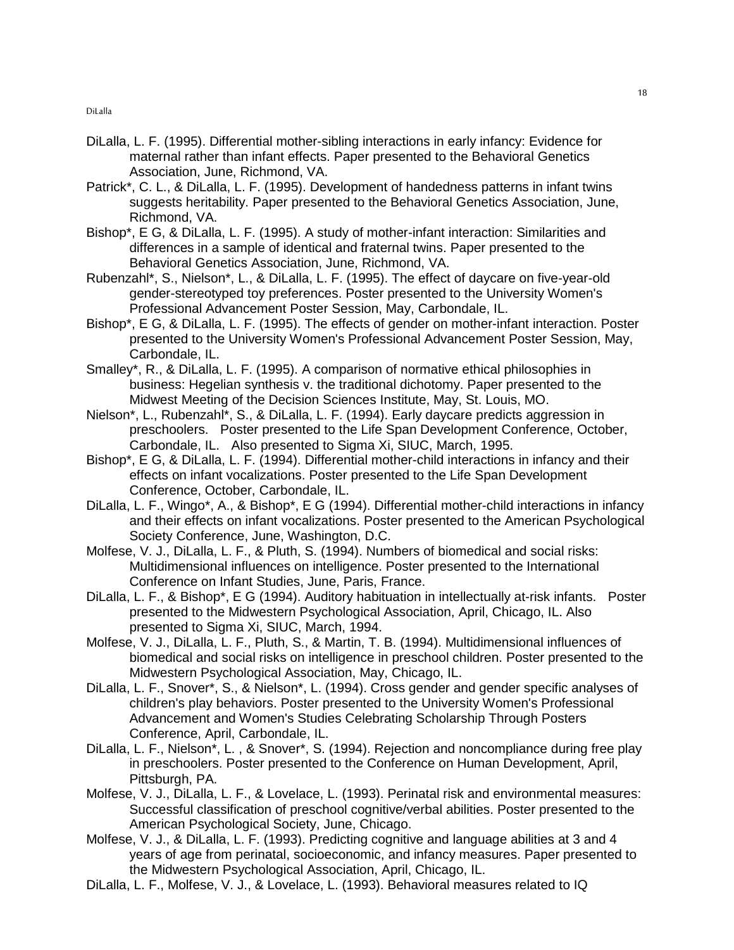- DiLalla, L. F. (1995). Differential mother-sibling interactions in early infancy: Evidence for maternal rather than infant effects. Paper presented to the Behavioral Genetics Association, June, Richmond, VA.
- Patrick\*, C. L., & DiLalla, L. F. (1995). Development of handedness patterns in infant twins suggests heritability. Paper presented to the Behavioral Genetics Association, June, Richmond, VA.
- Bishop\*, E G, & DiLalla, L. F. (1995). A study of mother-infant interaction: Similarities and differences in a sample of identical and fraternal twins. Paper presented to the Behavioral Genetics Association, June, Richmond, VA.
- Rubenzahl\*, S., Nielson\*, L., & DiLalla, L. F. (1995). The effect of daycare on five-year-old gender-stereotyped toy preferences. Poster presented to the University Women's Professional Advancement Poster Session, May, Carbondale, IL.
- Bishop\*, E G, & DiLalla, L. F. (1995). The effects of gender on mother-infant interaction. Poster presented to the University Women's Professional Advancement Poster Session, May, Carbondale, IL.
- Smalley\*, R., & DiLalla, L. F. (1995). A comparison of normative ethical philosophies in business: Hegelian synthesis v. the traditional dichotomy. Paper presented to the Midwest Meeting of the Decision Sciences Institute, May, St. Louis, MO.
- Nielson\*, L., Rubenzahl\*, S., & DiLalla, L. F. (1994). Early daycare predicts aggression in preschoolers. Poster presented to the Life Span Development Conference, October, Carbondale, IL. Also presented to Sigma Xi, SIUC, March, 1995.
- Bishop\*, E G, & DiLalla, L. F. (1994). Differential mother-child interactions in infancy and their effects on infant vocalizations. Poster presented to the Life Span Development Conference, October, Carbondale, IL.
- DiLalla, L. F., Wingo\*, A., & Bishop\*, E G (1994). Differential mother-child interactions in infancy and their effects on infant vocalizations. Poster presented to the American Psychological Society Conference, June, Washington, D.C.
- Molfese, V. J., DiLalla, L. F., & Pluth, S. (1994). Numbers of biomedical and social risks: Multidimensional influences on intelligence. Poster presented to the International Conference on Infant Studies, June, Paris, France.
- DiLalla, L. F., & Bishop\*, E G (1994). Auditory habituation in intellectually at-risk infants. Poster presented to the Midwestern Psychological Association, April, Chicago, IL. Also presented to Sigma Xi, SIUC, March, 1994.
- Molfese, V. J., DiLalla, L. F., Pluth, S., & Martin, T. B. (1994). Multidimensional influences of biomedical and social risks on intelligence in preschool children. Poster presented to the Midwestern Psychological Association, May, Chicago, IL.
- DiLalla, L. F., Snover\*, S., & Nielson\*, L. (1994). Cross gender and gender specific analyses of children's play behaviors. Poster presented to the University Women's Professional Advancement and Women's Studies Celebrating Scholarship Through Posters Conference, April, Carbondale, IL.
- DiLalla, L. F., Nielson\*, L. , & Snover\*, S. (1994). Rejection and noncompliance during free play in preschoolers. Poster presented to the Conference on Human Development, April, Pittsburgh, PA.
- Molfese, V. J., DiLalla, L. F., & Lovelace, L. (1993). Perinatal risk and environmental measures: Successful classification of preschool cognitive/verbal abilities. Poster presented to the American Psychological Society, June, Chicago.
- Molfese, V. J., & DiLalla, L. F. (1993). Predicting cognitive and language abilities at 3 and 4 years of age from perinatal, socioeconomic, and infancy measures. Paper presented to the Midwestern Psychological Association, April, Chicago, IL.
- DiLalla, L. F., Molfese, V. J., & Lovelace, L. (1993). Behavioral measures related to IQ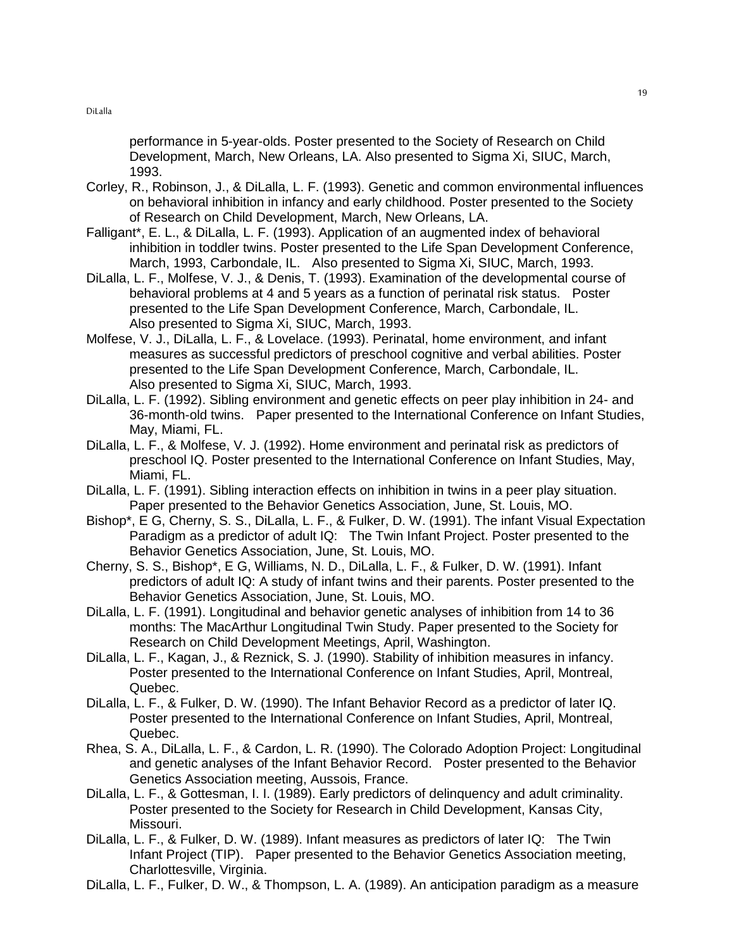performance in 5-year-olds. Poster presented to the Society of Research on Child Development, March, New Orleans, LA. Also presented to Sigma Xi, SIUC, March, 1993.

- Corley, R., Robinson, J., & DiLalla, L. F. (1993). Genetic and common environmental influences on behavioral inhibition in infancy and early childhood. Poster presented to the Society of Research on Child Development, March, New Orleans, LA.
- Falligant\*, E. L., & DiLalla, L. F. (1993). Application of an augmented index of behavioral inhibition in toddler twins. Poster presented to the Life Span Development Conference, March, 1993, Carbondale, IL. Also presented to Sigma Xi, SIUC, March, 1993.
- DiLalla, L. F., Molfese, V. J., & Denis, T. (1993). Examination of the developmental course of behavioral problems at 4 and 5 years as a function of perinatal risk status. Poster presented to the Life Span Development Conference, March, Carbondale, IL. Also presented to Sigma Xi, SIUC, March, 1993.
- Molfese, V. J., DiLalla, L. F., & Lovelace. (1993). Perinatal, home environment, and infant measures as successful predictors of preschool cognitive and verbal abilities. Poster presented to the Life Span Development Conference, March, Carbondale, IL. Also presented to Sigma Xi, SIUC, March, 1993.
- DiLalla, L. F. (1992). Sibling environment and genetic effects on peer play inhibition in 24- and 36-month-old twins. Paper presented to the International Conference on Infant Studies, May, Miami, FL.
- DiLalla, L. F., & Molfese, V. J. (1992). Home environment and perinatal risk as predictors of preschool IQ. Poster presented to the International Conference on Infant Studies, May, Miami, FL.
- DiLalla, L. F. (1991). Sibling interaction effects on inhibition in twins in a peer play situation. Paper presented to the Behavior Genetics Association, June, St. Louis, MO.
- Bishop\*, E G, Cherny, S. S., DiLalla, L. F., & Fulker, D. W. (1991). The infant Visual Expectation Paradigm as a predictor of adult IQ: The Twin Infant Project. Poster presented to the Behavior Genetics Association, June, St. Louis, MO.
- Cherny, S. S., Bishop\*, E G, Williams, N. D., DiLalla, L. F., & Fulker, D. W. (1991). Infant predictors of adult IQ: A study of infant twins and their parents. Poster presented to the Behavior Genetics Association, June, St. Louis, MO.
- DiLalla, L. F. (1991). Longitudinal and behavior genetic analyses of inhibition from 14 to 36 months: The MacArthur Longitudinal Twin Study. Paper presented to the Society for Research on Child Development Meetings, April, Washington.
- DiLalla, L. F., Kagan, J., & Reznick, S. J. (1990). Stability of inhibition measures in infancy. Poster presented to the International Conference on Infant Studies, April, Montreal, Quebec.
- DiLalla, L. F., & Fulker, D. W. (1990). The Infant Behavior Record as a predictor of later IQ. Poster presented to the International Conference on Infant Studies, April, Montreal, Quebec.
- Rhea, S. A., DiLalla, L. F., & Cardon, L. R. (1990). The Colorado Adoption Project: Longitudinal and genetic analyses of the Infant Behavior Record. Poster presented to the Behavior Genetics Association meeting, Aussois, France.
- DiLalla, L. F., & Gottesman, I. I. (1989). Early predictors of delinquency and adult criminality. Poster presented to the Society for Research in Child Development, Kansas City, Missouri.
- DiLalla, L. F., & Fulker, D. W. (1989). Infant measures as predictors of later IQ: The Twin Infant Project (TIP). Paper presented to the Behavior Genetics Association meeting, Charlottesville, Virginia.
- DiLalla, L. F., Fulker, D. W., & Thompson, L. A. (1989). An anticipation paradigm as a measure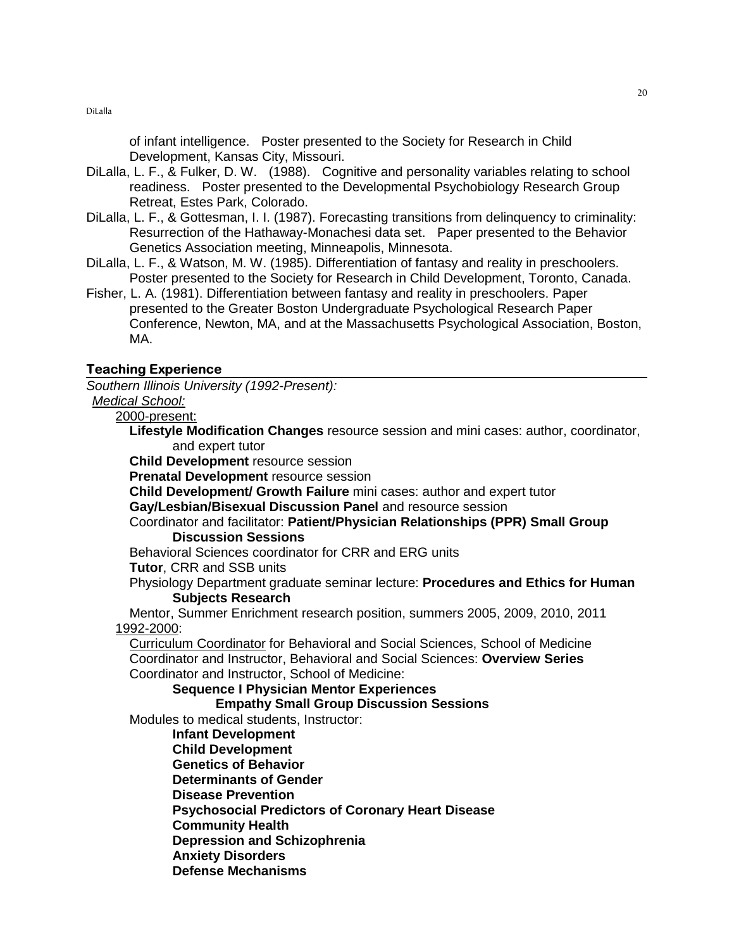of infant intelligence. Poster presented to the Society for Research in Child Development, Kansas City, Missouri.

- DiLalla, L. F., & Fulker, D. W. (1988). Cognitive and personality variables relating to school readiness. Poster presented to the Developmental Psychobiology Research Group Retreat, Estes Park, Colorado.
- DiLalla, L. F., & Gottesman, I. I. (1987). Forecasting transitions from delinquency to criminality: Resurrection of the Hathaway-Monachesi data set. Paper presented to the Behavior Genetics Association meeting, Minneapolis, Minnesota.
- DiLalla, L. F., & Watson, M. W. (1985). Differentiation of fantasy and reality in preschoolers. Poster presented to the Society for Research in Child Development, Toronto, Canada.
- Fisher, L. A. (1981). Differentiation between fantasy and reality in preschoolers. Paper presented to the Greater Boston Undergraduate Psychological Research Paper Conference, Newton, MA, and at the Massachusetts Psychological Association, Boston, MA.

## Teaching Experience

Southern Illinois University (1992-Present):

#### Medical School: 2000-present:

**Lifestyle Modification Changes** resource session and mini cases: author, coordinator, and expert tutor

**Child Development** resource session

**Prenatal Development** resource session

**Child Development/ Growth Failure** mini cases: author and expert tutor

**Gay/Lesbian/Bisexual Discussion Panel** and resource session

## Coordinator and facilitator: **Patient/Physician Relationships (PPR) Small Group Discussion Sessions**

Behavioral Sciences coordinator for CRR and ERG units

**Tutor**, CRR and SSB units

Physiology Department graduate seminar lecture: **Procedures and Ethics for Human Subjects Research**

Mentor, Summer Enrichment research position, summers 2005, 2009, 2010, 2011 1992-2000:

 Curriculum Coordinator for Behavioral and Social Sciences, School of Medicine Coordinator and Instructor, Behavioral and Social Sciences: **Overview Series** Coordinator and Instructor, School of Medicine:

**Sequence I Physician Mentor Experiences**

## **Empathy Small Group Discussion Sessions**

Modules to medical students, Instructor:

**Infant Development Child Development Genetics of Behavior Determinants of Gender Disease Prevention Psychosocial Predictors of Coronary Heart Disease Community Health Depression and Schizophrenia Anxiety Disorders Defense Mechanisms**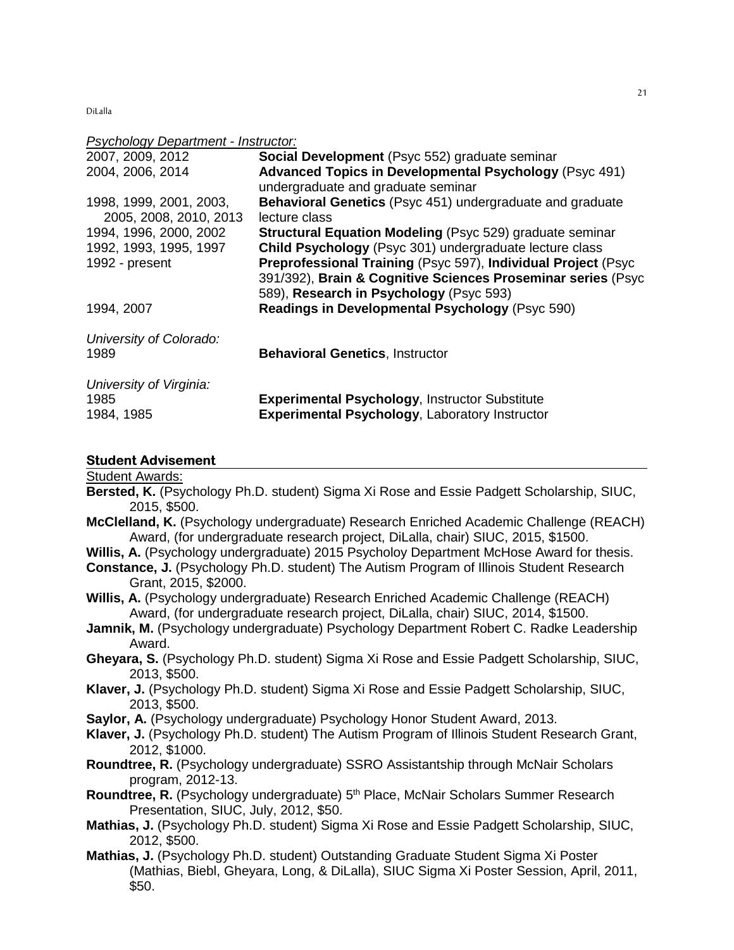#### Psychology Department - Instructor:

| 2007, 2009, 2012                                  | Social Development (Psyc 552) graduate seminar                                                                                                                           |
|---------------------------------------------------|--------------------------------------------------------------------------------------------------------------------------------------------------------------------------|
| 2004, 2006, 2014                                  | <b>Advanced Topics in Developmental Psychology (Psyc 491)</b><br>undergraduate and graduate seminar                                                                      |
| 1998, 1999, 2001, 2003,<br>2005, 2008, 2010, 2013 | Behavioral Genetics (Psyc 451) undergraduate and graduate<br>lecture class                                                                                               |
| 1994, 1996, 2000, 2002                            | <b>Structural Equation Modeling (Psyc 529) graduate seminar</b>                                                                                                          |
| 1992, 1993, 1995, 1997                            | Child Psychology (Psyc 301) undergraduate lecture class                                                                                                                  |
| 1992 - present                                    | Preprofessional Training (Psyc 597), Individual Project (Psyc<br>391/392), Brain & Cognitive Sciences Proseminar series (Psyc<br>589), Research in Psychology (Psyc 593) |
| 1994, 2007                                        | <b>Readings in Developmental Psychology (Psyc 590)</b>                                                                                                                   |
| University of Colorado:<br>1989                   | <b>Behavioral Genetics, Instructor</b>                                                                                                                                   |
| University of Virginia:<br>1985<br>1984, 1985     | <b>Experimental Psychology, Instructor Substitute</b><br><b>Experimental Psychology, Laboratory Instructor</b>                                                           |

#### Student Advisement

## Student Awards:

- **Bersted, K.** (Psychology Ph.D. student) Sigma Xi Rose and Essie Padgett Scholarship, SIUC, 2015, \$500.
- **McClelland, K.** (Psychology undergraduate) Research Enriched Academic Challenge (REACH) Award, (for undergraduate research project, DiLalla, chair) SIUC, 2015, \$1500.
- Willis, A. (Psychology undergraduate) 2015 Psycholoy Department McHose Award for thesis.
- **Constance, J.** (Psychology Ph.D. student) The Autism Program of Illinois Student Research Grant, 2015, \$2000.
- **Willis, A.** (Psychology undergraduate) Research Enriched Academic Challenge (REACH) Award, (for undergraduate research project, DiLalla, chair) SIUC, 2014, \$1500.
- **Jamnik, M.** (Psychology undergraduate) Psychology Department Robert C. Radke Leadership Award.
- **Gheyara, S.** (Psychology Ph.D. student) Sigma Xi Rose and Essie Padgett Scholarship, SIUC, 2013, \$500.
- **Klaver, J.** (Psychology Ph.D. student) Sigma Xi Rose and Essie Padgett Scholarship, SIUC, 2013, \$500.
- **Saylor, A.** (Psychology undergraduate) Psychology Honor Student Award, 2013.
- **Klaver, J.** (Psychology Ph.D. student) The Autism Program of Illinois Student Research Grant, 2012, \$1000.
- **Roundtree, R.** (Psychology undergraduate) SSRO Assistantship through McNair Scholars program, 2012-13.
- **Roundtree, R.** (Psychology undergraduate) 5<sup>th</sup> Place, McNair Scholars Summer Research Presentation, SIUC, July, 2012, \$50.
- **Mathias, J.** (Psychology Ph.D. student) Sigma Xi Rose and Essie Padgett Scholarship, SIUC, 2012, \$500.
- **Mathias, J.** (Psychology Ph.D. student) Outstanding Graduate Student Sigma Xi Poster (Mathias, Biebl, Gheyara, Long, & DiLalla), SIUC Sigma Xi Poster Session, April, 2011, \$50.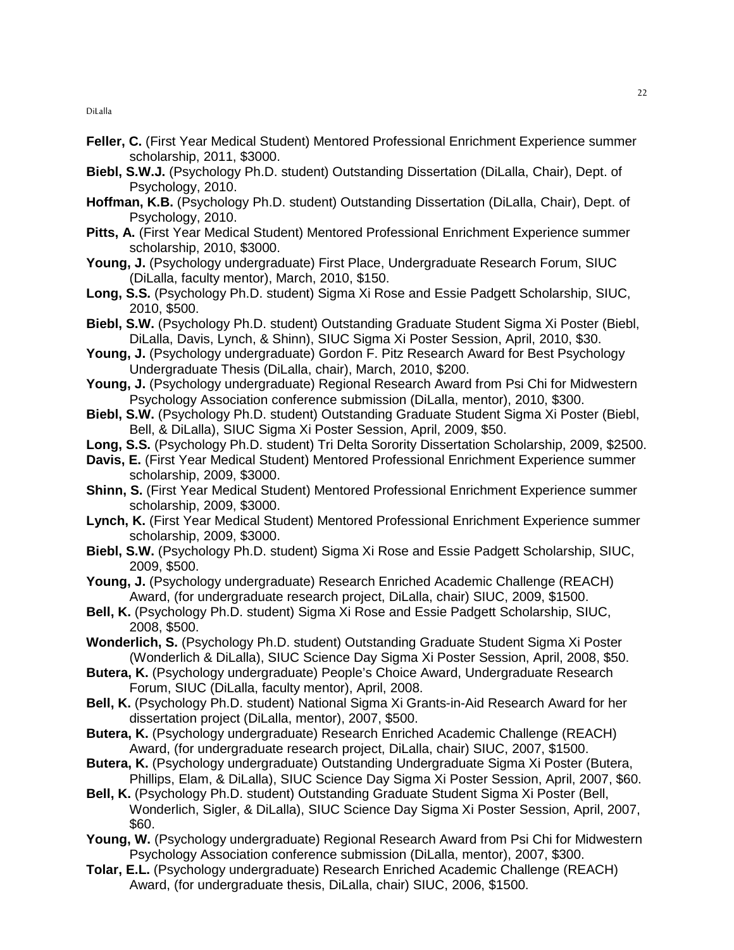- **Feller, C.** (First Year Medical Student) Mentored Professional Enrichment Experience summer scholarship, 2011, \$3000.
- **Biebl, S.W.J.** (Psychology Ph.D. student) Outstanding Dissertation (DiLalla, Chair), Dept. of Psychology, 2010.
- **Hoffman, K.B.** (Psychology Ph.D. student) Outstanding Dissertation (DiLalla, Chair), Dept. of Psychology, 2010.
- **Pitts, A.** (First Year Medical Student) Mentored Professional Enrichment Experience summer scholarship, 2010, \$3000.
- **Young, J.** (Psychology undergraduate) First Place, Undergraduate Research Forum, SIUC (DiLalla, faculty mentor), March, 2010, \$150.
- **Long, S.S.** (Psychology Ph.D. student) Sigma Xi Rose and Essie Padgett Scholarship, SIUC, 2010, \$500.
- **Biebl, S.W.** (Psychology Ph.D. student) Outstanding Graduate Student Sigma Xi Poster (Biebl, DiLalla, Davis, Lynch, & Shinn), SIUC Sigma Xi Poster Session, April, 2010, \$30.
- **Young, J.** (Psychology undergraduate) Gordon F. Pitz Research Award for Best Psychology Undergraduate Thesis (DiLalla, chair), March, 2010, \$200.
- **Young, J.** (Psychology undergraduate) Regional Research Award from Psi Chi for Midwestern Psychology Association conference submission (DiLalla, mentor), 2010, \$300.
- **Biebl, S.W.** (Psychology Ph.D. student) Outstanding Graduate Student Sigma Xi Poster (Biebl, Bell, & DiLalla), SIUC Sigma Xi Poster Session, April, 2009, \$50.
- **Long, S.S.** (Psychology Ph.D. student) Tri Delta Sorority Dissertation Scholarship, 2009, \$2500.
- **Davis, E.** (First Year Medical Student) Mentored Professional Enrichment Experience summer scholarship, 2009, \$3000.
- **Shinn, S.** (First Year Medical Student) Mentored Professional Enrichment Experience summer scholarship, 2009, \$3000.
- **Lynch, K.** (First Year Medical Student) Mentored Professional Enrichment Experience summer scholarship, 2009, \$3000.
- **Biebl, S.W.** (Psychology Ph.D. student) Sigma Xi Rose and Essie Padgett Scholarship, SIUC, 2009, \$500.
- **Young, J.** (Psychology undergraduate) Research Enriched Academic Challenge (REACH) Award, (for undergraduate research project, DiLalla, chair) SIUC, 2009, \$1500.
- **Bell, K.** (Psychology Ph.D. student) Sigma Xi Rose and Essie Padgett Scholarship, SIUC, 2008, \$500.
- **Wonderlich, S.** (Psychology Ph.D. student) Outstanding Graduate Student Sigma Xi Poster (Wonderlich & DiLalla), SIUC Science Day Sigma Xi Poster Session, April, 2008, \$50.
- **Butera, K.** (Psychology undergraduate) People's Choice Award, Undergraduate Research Forum, SIUC (DiLalla, faculty mentor), April, 2008.
- **Bell, K.** (Psychology Ph.D. student) National Sigma Xi Grants-in-Aid Research Award for her dissertation project (DiLalla, mentor), 2007, \$500.
- **Butera, K.** (Psychology undergraduate) Research Enriched Academic Challenge (REACH) Award, (for undergraduate research project, DiLalla, chair) SIUC, 2007, \$1500.
- **Butera, K.** (Psychology undergraduate) Outstanding Undergraduate Sigma Xi Poster (Butera, Phillips, Elam, & DiLalla), SIUC Science Day Sigma Xi Poster Session, April, 2007, \$60.
- **Bell, K.** (Psychology Ph.D. student) Outstanding Graduate Student Sigma Xi Poster (Bell, Wonderlich, Sigler, & DiLalla), SIUC Science Day Sigma Xi Poster Session, April, 2007, \$60.
- **Young, W.** (Psychology undergraduate) Regional Research Award from Psi Chi for Midwestern Psychology Association conference submission (DiLalla, mentor), 2007, \$300.
- **Tolar, E.L.** (Psychology undergraduate) Research Enriched Academic Challenge (REACH) Award, (for undergraduate thesis, DiLalla, chair) SIUC, 2006, \$1500.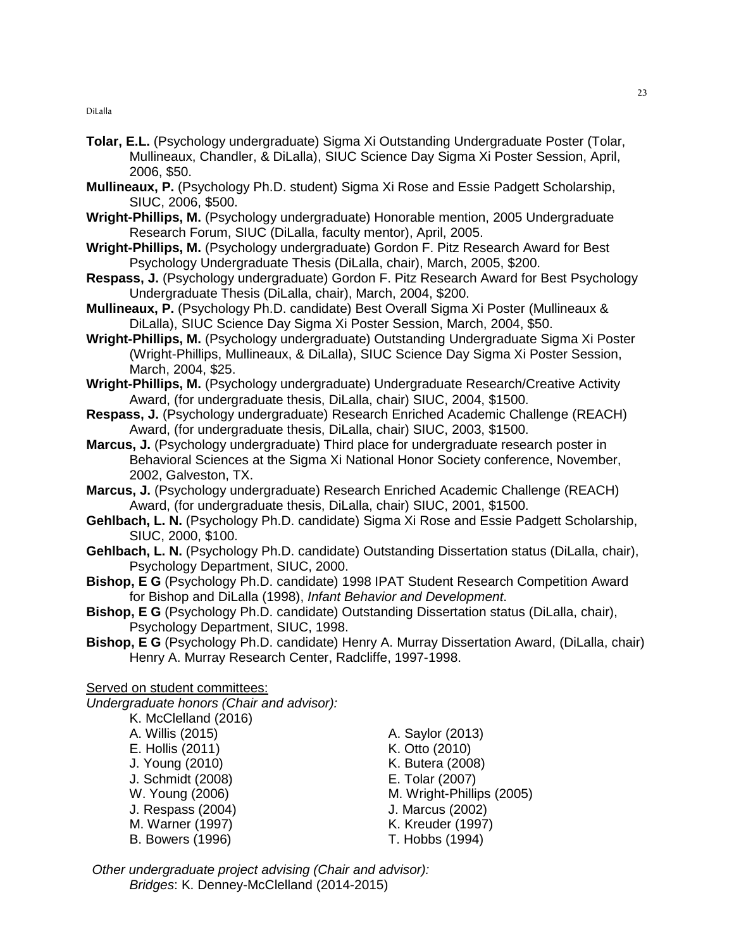- **Tolar, E.L.** (Psychology undergraduate) Sigma Xi Outstanding Undergraduate Poster (Tolar, Mullineaux, Chandler, & DiLalla), SIUC Science Day Sigma Xi Poster Session, April, 2006, \$50.
- **Mullineaux, P.** (Psychology Ph.D. student) Sigma Xi Rose and Essie Padgett Scholarship, SIUC, 2006, \$500.
- **Wright-Phillips, M.** (Psychology undergraduate) Honorable mention, 2005 Undergraduate Research Forum, SIUC (DiLalla, faculty mentor), April, 2005.
- **Wright-Phillips, M.** (Psychology undergraduate) Gordon F. Pitz Research Award for Best Psychology Undergraduate Thesis (DiLalla, chair), March, 2005, \$200.
- **Respass, J.** (Psychology undergraduate) Gordon F. Pitz Research Award for Best Psychology Undergraduate Thesis (DiLalla, chair), March, 2004, \$200.
- **Mullineaux, P.** (Psychology Ph.D. candidate) Best Overall Sigma Xi Poster (Mullineaux & DiLalla), SIUC Science Day Sigma Xi Poster Session, March, 2004, \$50.
- **Wright-Phillips, M.** (Psychology undergraduate) Outstanding Undergraduate Sigma Xi Poster (Wright-Phillips, Mullineaux, & DiLalla), SIUC Science Day Sigma Xi Poster Session, March, 2004, \$25.
- **Wright-Phillips, M.** (Psychology undergraduate) Undergraduate Research/Creative Activity Award, (for undergraduate thesis, DiLalla, chair) SIUC, 2004, \$1500.
- **Respass, J.** (Psychology undergraduate) Research Enriched Academic Challenge (REACH) Award, (for undergraduate thesis, DiLalla, chair) SIUC, 2003, \$1500.
- **Marcus, J.** (Psychology undergraduate) Third place for undergraduate research poster in Behavioral Sciences at the Sigma Xi National Honor Society conference, November, 2002, Galveston, TX.
- **Marcus, J.** (Psychology undergraduate) Research Enriched Academic Challenge (REACH) Award, (for undergraduate thesis, DiLalla, chair) SIUC, 2001, \$1500.
- **Gehlbach, L. N.** (Psychology Ph.D. candidate) Sigma Xi Rose and Essie Padgett Scholarship, SIUC, 2000, \$100.
- **Gehlbach, L. N.** (Psychology Ph.D. candidate) Outstanding Dissertation status (DiLalla, chair), Psychology Department, SIUC, 2000.
- **Bishop, E G** (Psychology Ph.D. candidate) 1998 IPAT Student Research Competition Award for Bishop and DiLalla (1998), Infant Behavior and Development.
- **Bishop, E G** (Psychology Ph.D. candidate) Outstanding Dissertation status (DiLalla, chair), Psychology Department, SIUC, 1998.
- **Bishop, E G** (Psychology Ph.D. candidate) Henry A. Murray Dissertation Award, (DiLalla, chair) Henry A. Murray Research Center, Radcliffe, 1997-1998.

# Served on student committees:

Undergraduate honors (Chair and advisor):

 K. McClelland (2016) A. Willis (2015) A. Saylor (2013) E. Hollis (2011) K. Otto (2010) J. Young (2010) K. Butera (2008) J. Schmidt (2008) E. Tolar (2007) J. Respass (2004) J. Marcus (2002) B. Bowers (1996) T. Hobbs (1994)

W. Young (2006) M. Wright-Phillips (2005) M. Warner (1997) K. Kreuder (1997)

 Other undergraduate project advising (Chair and advisor): Bridges: K. Denney-McClelland (2014-2015)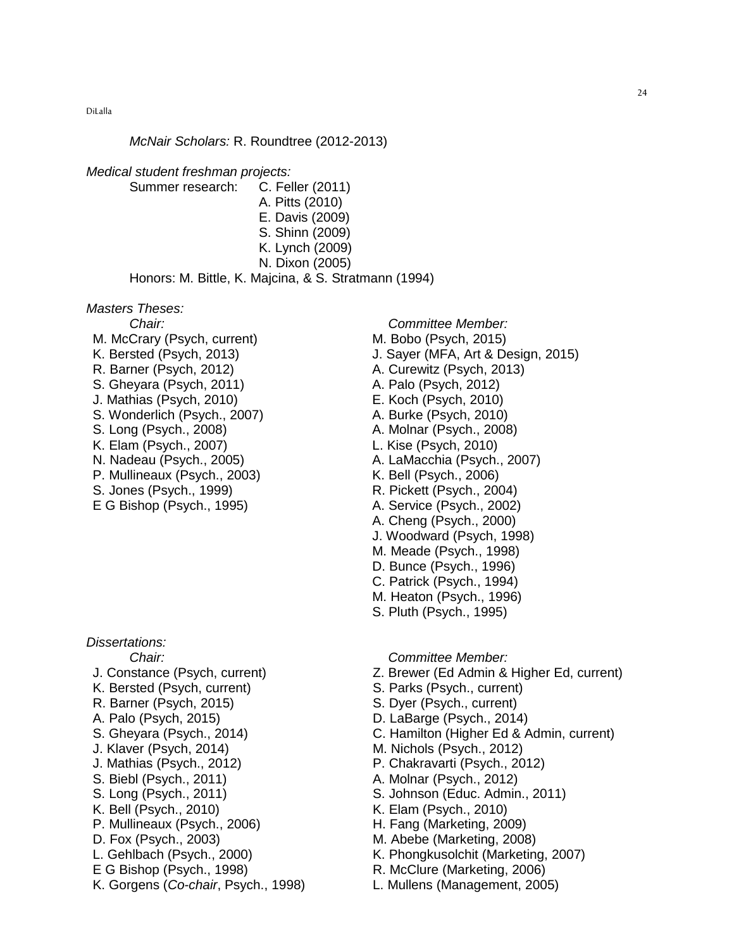#### McNair Scholars: R. Roundtree (2012-2013)

#### Medical student freshman projects:

Summer research: C. Feller (2011) A. Pitts (2010) E. Davis (2009) S. Shinn (2009) K. Lynch (2009) N. Dixon (2005) Honors: M. Bittle, K. Majcina, & S. Stratmann (1994)

#### Masters Theses:

M. McCrary (Psych, current) M. Bobo (Psych, 2015) R. Barner (Psych, 2012) A. Curewitz (Psych, 2013) S. Gheyara (Psych, 2011) A. Palo (Psych, 2012) J. Mathias (Psych, 2010) E. Koch (Psych, 2010) S. Wonderlich (Psych., 2007) A. Burke (Psych, 2010) S. Long (Psych., 2008) <br>
A. Molnar (Psych., 2008) K. Elam (Psych., 2007) L. Kise (Psych, 2010) N. Nadeau (Psych., 2005) A. LaMacchia (Psych., 2007) P. Mullineaux (Psych., 2003) K. Bell (Psych., 2006) S. Jones (Psych., 1999) R. Pickett (Psych., 2004) E G Bishop (Psych., 1995) A. Service (Psych., 2002) Dissertations: Chair: Chair: Chair: Committee Member: K. Bersted (Psych, current) S. Parks (Psych., current) R. Barner (Psych, 2015) S. Dyer (Psych., current) A. Palo (Psych, 2015) D. LaBarge (Psych., 2014) J. Klaver (Psych, 2014) M. Nichols (Psych., 2012) J. Mathias (Psych., 2012) P. Chakravarti (Psych., 2012) S. Biebl (Psych., 2011) A. Molnar (Psych., 2012) S. Long (Psych., 2011) S. Johnson (Educ. Admin., 2011) K. Bell (Psych., 2010) K. Elam (Psych., 2010) P. Mullineaux (Psych., 2006) H. Fang (Marketing, 2009) D. Fox (Psych., 2003) The M. Abebe (Marketing, 2008) L. Gehlbach (Psych., 2000) K. Phongkusolchit (Marketing, 2007) E G Bishop (Psych., 1998) R. McClure (Marketing, 2006) K. Gorgens (Co-chair, Psych., 1998) L. Mullens (Management, 2005)

Chair: Chair: Committee Member:

- 
- K. Bersted (Psych, 2013) J. Sayer (MFA, Art & Design, 2015)
	-
	-
	-
	-
	-
	-
	-
	-
	-
	-
	- A. Cheng (Psych., 2000)
	- J. Woodward (Psych, 1998)
	- M. Meade (Psych., 1998)
	- D. Bunce (Psych., 1996)
	- C. Patrick (Psych., 1994)
	- M. Heaton (Psych., 1996)
	- S. Pluth (Psych., 1995)

- J. Constance (Psych, current) Z. Brewer (Ed Admin & Higher Ed, current)
	-
	-
	-
- S. Gheyara (Psych., 2014) C. Hamilton (Higher Ed & Admin, current)
	-
	-
	-
	-
	-
	-
	-
	-
	-
	-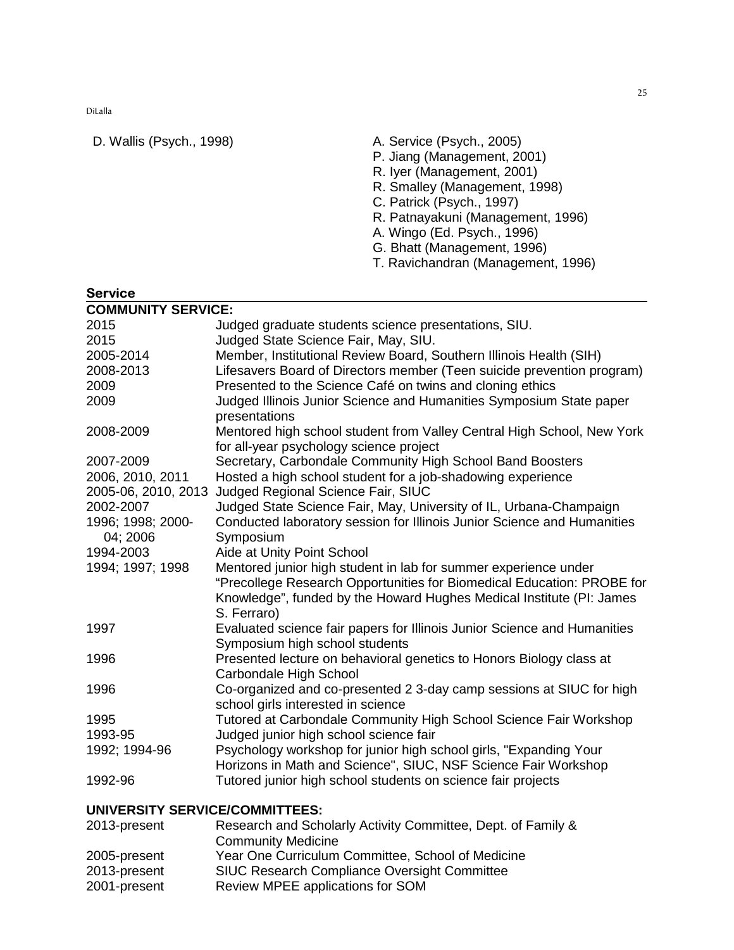Service

- D. Wallis (Psych., 1998) A. Service (Psych., 2005)
	- P. Jiang (Management, 2001)
	- R. Iyer (Management, 2001)
	- R. Smalley (Management, 1998)
	- C. Patrick (Psych., 1997)
	- R. Patnayakuni (Management, 1996)
	- A. Wingo (Ed. Psych., 1996)
	- G. Bhatt (Management, 1996)
	- T. Ravichandran (Management, 1996)

| <b>COMMUNITY SERVICE:</b> |                                                                                                                   |
|---------------------------|-------------------------------------------------------------------------------------------------------------------|
| 2015                      | Judged graduate students science presentations, SIU.                                                              |
| 2015                      | Judged State Science Fair, May, SIU.                                                                              |
| 2005-2014                 | Member, Institutional Review Board, Southern Illinois Health (SIH)                                                |
| 2008-2013                 | Lifesavers Board of Directors member (Teen suicide prevention program)                                            |
| 2009                      | Presented to the Science Café on twins and cloning ethics                                                         |
| 2009                      | Judged Illinois Junior Science and Humanities Symposium State paper<br>presentations                              |
| 2008-2009                 | Mentored high school student from Valley Central High School, New York<br>for all-year psychology science project |
| 2007-2009                 | Secretary, Carbondale Community High School Band Boosters                                                         |
| 2006, 2010, 2011          | Hosted a high school student for a job-shadowing experience                                                       |
| 2005-06, 2010, 2013       | Judged Regional Science Fair, SIUC                                                                                |
| 2002-2007                 | Judged State Science Fair, May, University of IL, Urbana-Champaign                                                |
| 1996; 1998; 2000-         | Conducted laboratory session for Illinois Junior Science and Humanities                                           |
| 04; 2006<br>1994-2003     | Symposium<br>Aide at Unity Point School                                                                           |
| 1994; 1997; 1998          | Mentored junior high student in lab for summer experience under                                                   |
|                           | "Precollege Research Opportunities for Biomedical Education: PROBE for                                            |
|                           | Knowledge", funded by the Howard Hughes Medical Institute (PI: James                                              |
| 1997                      | S. Ferraro)                                                                                                       |
|                           | Evaluated science fair papers for Illinois Junior Science and Humanities<br>Symposium high school students        |
| 1996                      | Presented lecture on behavioral genetics to Honors Biology class at                                               |
|                           | Carbondale High School                                                                                            |
| 1996                      | Co-organized and co-presented 2 3-day camp sessions at SIUC for high<br>school girls interested in science        |
| 1995                      | Tutored at Carbondale Community High School Science Fair Workshop                                                 |
| 1993-95                   | Judged junior high school science fair                                                                            |
| 1992; 1994-96             | Psychology workshop for junior high school girls, "Expanding Your                                                 |
|                           | Horizons in Math and Science", SIUC, NSF Science Fair Workshop                                                    |
| 1992-96                   | Tutored junior high school students on science fair projects                                                      |

# **UNIVERSITY SERVICE/COMMITTEES:**

| 2013-present | Research and Scholarly Activity Committee, Dept. of Family & |
|--------------|--------------------------------------------------------------|
|              | <b>Community Medicine</b>                                    |
| 2005-present | Year One Curriculum Committee, School of Medicine            |
| 2013-present | <b>SIUC Research Compliance Oversight Committee</b>          |
| 2001-present | Review MPEE applications for SOM                             |